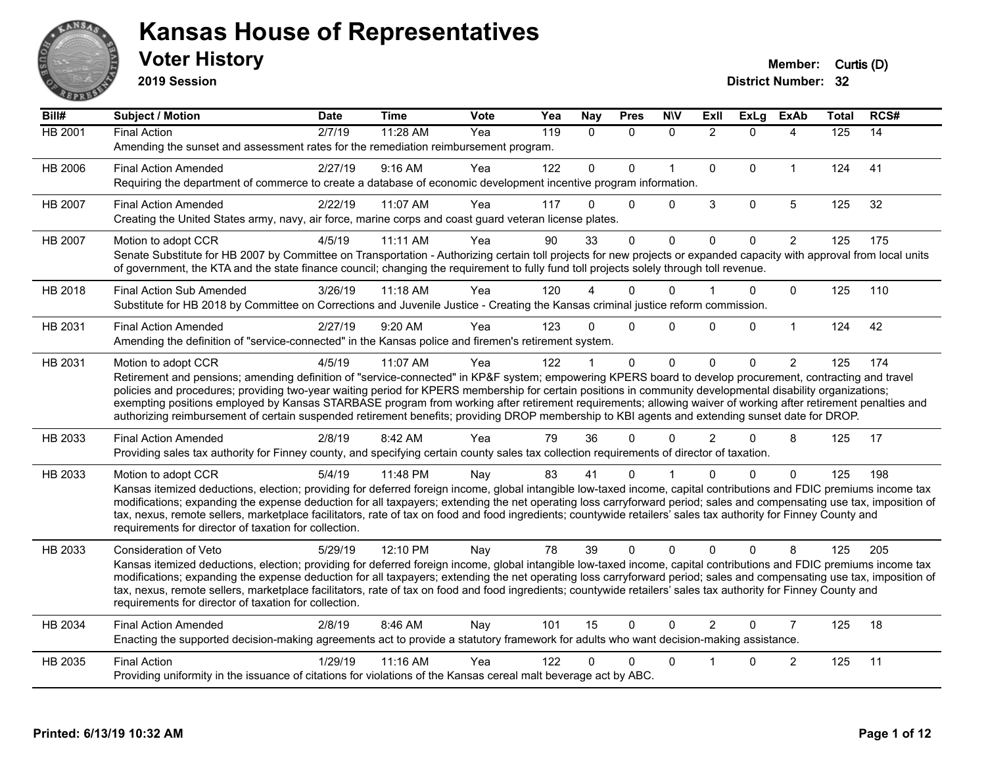

**2019 Session**

| Bill#          | Subject / Motion                                                                                                                                                                                                                                                                                                                         | <b>Date</b> | <b>Time</b> | <b>Vote</b> | Yea | <b>Nay</b>   | <b>Pres</b>  | <b>NIV</b>   | ExII           | <b>ExLg</b>  | <b>ExAb</b>    | <b>Total</b> | RCS# |
|----------------|------------------------------------------------------------------------------------------------------------------------------------------------------------------------------------------------------------------------------------------------------------------------------------------------------------------------------------------|-------------|-------------|-------------|-----|--------------|--------------|--------------|----------------|--------------|----------------|--------------|------|
| <b>HB 2001</b> | <b>Final Action</b>                                                                                                                                                                                                                                                                                                                      | 2/7/19      | 11:28 AM    | Yea         | 119 | $\mathbf{0}$ | $\Omega$     | $\mathbf{0}$ | $\overline{2}$ | $\Omega$     | 4              | 125          | 14   |
|                | Amending the sunset and assessment rates for the remediation reimbursement program.                                                                                                                                                                                                                                                      |             |             |             |     |              |              |              |                |              |                |              |      |
| HB 2006        | <b>Final Action Amended</b>                                                                                                                                                                                                                                                                                                              | 2/27/19     | 9:16 AM     | Yea         | 122 | $\Omega$     | $\Omega$     | $\mathbf{1}$ | $\mathbf{0}$   | $\Omega$     | $\mathbf{1}$   | 124          | 41   |
|                | Requiring the department of commerce to create a database of economic development incentive program information.                                                                                                                                                                                                                         |             |             |             |     |              |              |              |                |              |                |              |      |
| HB 2007        | <b>Final Action Amended</b>                                                                                                                                                                                                                                                                                                              | 2/22/19     | 11:07 AM    | Yea         | 117 | 0            | $\Omega$     | $\Omega$     | 3              | $\mathbf{0}$ | 5              | 125          | 32   |
|                | Creating the United States army, navy, air force, marine corps and coast guard veteran license plates.                                                                                                                                                                                                                                   |             |             |             |     |              |              |              |                |              |                |              |      |
| HB 2007        | Motion to adopt CCR                                                                                                                                                                                                                                                                                                                      | 4/5/19      | 11:11 AM    | Yea         | 90  | 33           | $\mathbf 0$  | 0            | $\Omega$       | $\Omega$     | $\overline{2}$ | 125          | 175  |
|                | Senate Substitute for HB 2007 by Committee on Transportation - Authorizing certain toll projects for new projects or expanded capacity with approval from local units<br>of government, the KTA and the state finance council; changing the requirement to fully fund toll projects solely through toll revenue.                         |             |             |             |     |              |              |              |                |              |                |              |      |
| HB 2018        | <b>Final Action Sub Amended</b>                                                                                                                                                                                                                                                                                                          | 3/26/19     | 11:18 AM    | Yea         | 120 |              | $\Omega$     | $\Omega$     |                | $\Omega$     | $\Omega$       | 125          | 110  |
|                | Substitute for HB 2018 by Committee on Corrections and Juvenile Justice - Creating the Kansas criminal justice reform commission.                                                                                                                                                                                                        |             |             |             |     |              |              |              |                |              |                |              |      |
| HB 2031        | <b>Final Action Amended</b>                                                                                                                                                                                                                                                                                                              | 2/27/19     | 9:20 AM     | Yea         | 123 | $\Omega$     | $\Omega$     | $\Omega$     | $\Omega$       | $\Omega$     | $\mathbf{1}$   | 124          | 42   |
|                | Amending the definition of "service-connected" in the Kansas police and firemen's retirement system.                                                                                                                                                                                                                                     |             |             |             |     |              |              |              |                |              |                |              |      |
| HB 2031        | Motion to adopt CCR                                                                                                                                                                                                                                                                                                                      | 4/5/19      | 11:07 AM    | Yea         | 122 |              | $\mathbf{0}$ | $\mathbf{0}$ | $\mathbf 0$    | $\Omega$     | $\overline{2}$ | 125          | 174  |
|                | Retirement and pensions; amending definition of "service-connected" in KP&F system; empowering KPERS board to develop procurement, contracting and travel<br>policies and procedures; providing two-year waiting period for KPERS membership for certain positions in community developmental disability organizations;                  |             |             |             |     |              |              |              |                |              |                |              |      |
|                | exempting positions employed by Kansas STARBASE program from working after retirement requirements; allowing waiver of working after retirement penalties and                                                                                                                                                                            |             |             |             |     |              |              |              |                |              |                |              |      |
|                | authorizing reimbursement of certain suspended retirement benefits; providing DROP membership to KBI agents and extending sunset date for DROP.                                                                                                                                                                                          |             |             |             |     |              |              |              |                |              |                |              |      |
| HB 2033        | <b>Final Action Amended</b>                                                                                                                                                                                                                                                                                                              | 2/8/19      | 8:42 AM     | Yea         | 79  | 36           | $\Omega$     | $\Omega$     | $\overline{2}$ | $\Omega$     | 8              | 125          | 17   |
|                | Providing sales tax authority for Finney county, and specifying certain county sales tax collection requirements of director of taxation.                                                                                                                                                                                                |             |             |             |     |              |              |              |                |              |                |              |      |
| HB 2033        | Motion to adopt CCR                                                                                                                                                                                                                                                                                                                      | 5/4/19      | 11:48 PM    | Nav         | 83  | 41           | 0            |              | U              | 0            | $\Omega$       | 125          | 198  |
|                | Kansas itemized deductions, election; providing for deferred foreign income, global intangible low-taxed income, capital contributions and FDIC premiums income tax                                                                                                                                                                      |             |             |             |     |              |              |              |                |              |                |              |      |
|                | modifications; expanding the expense deduction for all taxpayers; extending the net operating loss carryforward period; sales and compensating use tax, imposition of<br>tax, nexus, remote sellers, marketplace facilitators, rate of tax on food and food ingredients; countywide retailers' sales tax authority for Finney County and |             |             |             |     |              |              |              |                |              |                |              |      |
|                | requirements for director of taxation for collection.                                                                                                                                                                                                                                                                                    |             |             |             |     |              |              |              |                |              |                |              |      |
| HB 2033        | Consideration of Veto                                                                                                                                                                                                                                                                                                                    | 5/29/19     | 12:10 PM    | Nay         | 78  | 39           | $\Omega$     | $\Omega$     | $\Omega$       | $\Omega$     | 8              | 125          | 205  |
|                | Kansas itemized deductions, election; providing for deferred foreign income, global intangible low-taxed income, capital contributions and FDIC premiums income tax                                                                                                                                                                      |             |             |             |     |              |              |              |                |              |                |              |      |
|                | modifications; expanding the expense deduction for all taxpayers; extending the net operating loss carryforward period; sales and compensating use tax, imposition of<br>tax, nexus, remote sellers, marketplace facilitators, rate of tax on food and food ingredients; countywide retailers' sales tax authority for Finney County and |             |             |             |     |              |              |              |                |              |                |              |      |
|                | requirements for director of taxation for collection.                                                                                                                                                                                                                                                                                    |             |             |             |     |              |              |              |                |              |                |              |      |
| HB 2034        | <b>Final Action Amended</b>                                                                                                                                                                                                                                                                                                              | 2/8/19      | 8:46 AM     | Nay         | 101 | 15           | $\mathbf{0}$ | $\Omega$     | $\overline{2}$ | $\Omega$     | $\overline{7}$ | 125          | 18   |
|                | Enacting the supported decision-making agreements act to provide a statutory framework for adults who want decision-making assistance.                                                                                                                                                                                                   |             |             |             |     |              |              |              |                |              |                |              |      |
| HB 2035        | <b>Final Action</b>                                                                                                                                                                                                                                                                                                                      | 1/29/19     | 11:16 AM    | Yea         | 122 | 0            | 0            | $\Omega$     |                | $\Omega$     | $\overline{c}$ | 125          | 11   |
|                | Providing uniformity in the issuance of citations for violations of the Kansas cereal malt beverage act by ABC.                                                                                                                                                                                                                          |             |             |             |     |              |              |              |                |              |                |              |      |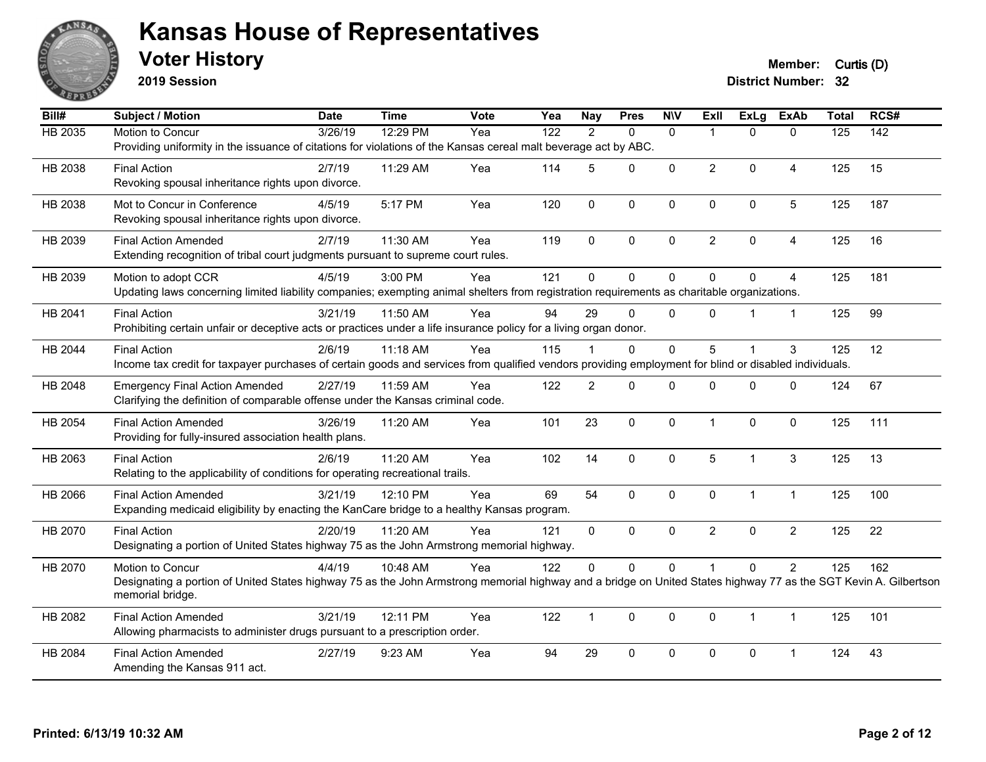

**2019 Session**

**Voter History Member:** Curtis (D)

| Bill#   | Subject / Motion                                                                                                                                                 | <b>Date</b> | <b>Time</b> | <b>Vote</b> | Yea              | <b>Nay</b>     | <b>Pres</b>  | <b>NIV</b>   | ExII           | ExLg         | <b>ExAb</b>    | <b>Total</b> | RCS# |
|---------|------------------------------------------------------------------------------------------------------------------------------------------------------------------|-------------|-------------|-------------|------------------|----------------|--------------|--------------|----------------|--------------|----------------|--------------|------|
| HB 2035 | Motion to Concur                                                                                                                                                 | 3/26/19     | 12:29 PM    | Yea         | $\overline{122}$ | $\overline{2}$ | $\mathbf{0}$ | $\mathbf{0}$ | $\overline{1}$ | $\Omega$     | $\mathbf{0}$   | 125          | 142  |
|         | Providing uniformity in the issuance of citations for violations of the Kansas cereal malt beverage act by ABC.                                                  |             |             |             |                  |                |              |              |                |              |                |              |      |
| HB 2038 | <b>Final Action</b>                                                                                                                                              | 2/7/19      | 11:29 AM    | Yea         | 114              | 5              | 0            | $\mathbf{0}$ | $\overline{2}$ | $\Omega$     | 4              | 125          | 15   |
|         | Revoking spousal inheritance rights upon divorce.                                                                                                                |             |             |             |                  |                |              |              |                |              |                |              |      |
| HB 2038 | Mot to Concur in Conference                                                                                                                                      | 4/5/19      | 5:17 PM     | Yea         | 120              | $\mathbf 0$    | $\pmb{0}$    | $\mathbf 0$  | $\mathbf 0$    | 0            | $\sqrt{5}$     | 125          | 187  |
|         | Revoking spousal inheritance rights upon divorce.                                                                                                                |             |             |             |                  |                |              |              |                |              |                |              |      |
| HB 2039 | <b>Final Action Amended</b>                                                                                                                                      | 2/7/19      | 11:30 AM    | Yea         | 119              | $\mathbf{0}$   | $\mathbf{0}$ | $\mathbf 0$  | $\overline{2}$ | $\Omega$     | $\overline{4}$ | 125          | 16   |
|         | Extending recognition of tribal court judgments pursuant to supreme court rules.                                                                                 |             |             |             |                  |                |              |              |                |              |                |              |      |
| HB 2039 | Motion to adopt CCR                                                                                                                                              | 4/5/19      | 3:00 PM     | Yea         | 121              | $\Omega$       | $\mathbf 0$  | $\mathbf 0$  | $\Omega$       | $\Omega$     | $\overline{4}$ | 125          | 181  |
|         | Updating laws concerning limited liability companies; exempting animal shelters from registration requirements as charitable organizations.                      |             |             |             |                  |                |              |              |                |              |                |              |      |
| HB 2041 | <b>Final Action</b>                                                                                                                                              | 3/21/19     | 11:50 AM    | Yea         | 94               | 29             | $\Omega$     | $\Omega$     | $\Omega$       | 1            | $\mathbf{1}$   | 125          | 99   |
|         | Prohibiting certain unfair or deceptive acts or practices under a life insurance policy for a living organ donor.                                                |             |             |             |                  |                |              |              |                |              |                |              |      |
| HB 2044 | <b>Final Action</b>                                                                                                                                              | 2/6/19      | 11:18 AM    | Yea         | 115              |                | $\Omega$     | $\mathbf{0}$ | 5              | 1            | 3              | 125          | 12   |
|         | Income tax credit for taxpayer purchases of certain goods and services from qualified vendors providing employment for blind or disabled individuals.            |             |             |             |                  |                |              |              |                |              |                |              |      |
| HB 2048 | <b>Emergency Final Action Amended</b>                                                                                                                            | 2/27/19     | 11:59 AM    | Yea         | 122              | $\overline{2}$ | $\mathbf{0}$ | $\Omega$     | $\Omega$       | $\Omega$     | $\mathbf{0}$   | 124          | 67   |
|         | Clarifying the definition of comparable offense under the Kansas criminal code.                                                                                  |             |             |             |                  |                |              |              |                |              |                |              |      |
| HB 2054 | <b>Final Action Amended</b>                                                                                                                                      | 3/26/19     | 11:20 AM    | Yea         | 101              | 23             | $\mathbf 0$  | $\mathbf 0$  | $\mathbf{1}$   | $\mathbf 0$  | $\mathbf 0$    | 125          | 111  |
|         | Providing for fully-insured association health plans.                                                                                                            |             |             |             |                  |                |              |              |                |              |                |              |      |
| HB 2063 | <b>Final Action</b>                                                                                                                                              | 2/6/19      | 11:20 AM    | Yea         | 102              | 14             | $\mathbf 0$  | $\mathbf 0$  | 5              | $\mathbf{1}$ | $\mathbf{3}$   | 125          | 13   |
|         | Relating to the applicability of conditions for operating recreational trails.                                                                                   |             |             |             |                  |                |              |              |                |              |                |              |      |
| HB 2066 | <b>Final Action Amended</b>                                                                                                                                      | 3/21/19     | 12:10 PM    | Yea         | 69               | 54             | $\mathbf{0}$ | $\mathbf{0}$ | $\mathbf{0}$   | $\mathbf{1}$ | $\mathbf{1}$   | 125          | 100  |
|         | Expanding medicaid eligibility by enacting the KanCare bridge to a healthy Kansas program.                                                                       |             |             |             |                  |                |              |              |                |              |                |              |      |
| HB 2070 | <b>Final Action</b>                                                                                                                                              | 2/20/19     | $11:20$ AM  | Yea         | 121              | $\mathbf{0}$   | $\Omega$     | $\Omega$     | $\overline{2}$ | $\Omega$     | $\overline{2}$ | 125          | 22   |
|         | Designating a portion of United States highway 75 as the John Armstrong memorial highway.                                                                        |             |             |             |                  |                |              |              |                |              |                |              |      |
| HB 2070 | Motion to Concur                                                                                                                                                 | 4/4/19      | 10:48 AM    | Yea         | 122              | 0              | $\mathbf 0$  | $\mathbf 0$  |                | 0            | $\overline{c}$ | 125          | 162  |
|         | Designating a portion of United States highway 75 as the John Armstrong memorial highway and a bridge on United States highway 77 as the SGT Kevin A. Gilbertson |             |             |             |                  |                |              |              |                |              |                |              |      |
|         | memorial bridge.                                                                                                                                                 |             |             |             |                  |                |              |              |                |              |                |              |      |
| HB 2082 | <b>Final Action Amended</b>                                                                                                                                      | 3/21/19     | 12:11 PM    | Yea         | 122              | $\mathbf{1}$   | $\mathbf 0$  | $\mathbf 0$  | $\mathbf{0}$   | $\mathbf 1$  | $\mathbf{1}$   | 125          | 101  |
|         | Allowing pharmacists to administer drugs pursuant to a prescription order.                                                                                       |             |             |             |                  |                |              |              |                |              |                |              |      |
| HB 2084 | <b>Final Action Amended</b>                                                                                                                                      | 2/27/19     | 9:23 AM     | Yea         | 94               | 29             | $\mathbf 0$  | $\mathbf 0$  | 0              | 0            | 1              | 124          | 43   |
|         | Amending the Kansas 911 act.                                                                                                                                     |             |             |             |                  |                |              |              |                |              |                |              |      |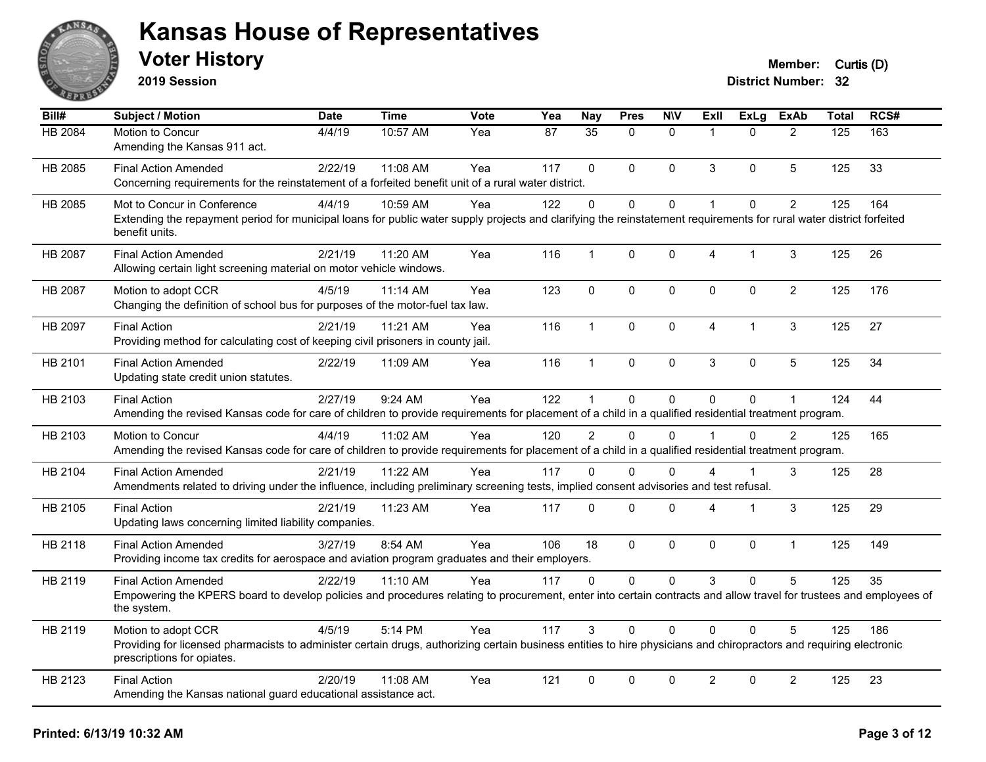

**2019 Session**

| Bill#   | Subject / Motion                                                                                                                                                                                  | <b>Date</b> | Time     | <b>Vote</b> | Yea | <b>Nay</b>     | <b>Pres</b>  | <b>NIV</b>   | <b>ExII</b>          | <b>ExLg</b>  | <b>ExAb</b>    | <b>Total</b> | RCS# |
|---------|---------------------------------------------------------------------------------------------------------------------------------------------------------------------------------------------------|-------------|----------|-------------|-----|----------------|--------------|--------------|----------------------|--------------|----------------|--------------|------|
| HB 2084 | Motion to Concur<br>Amending the Kansas 911 act.                                                                                                                                                  | 4/4/19      | 10:57 AM | Yea         | 87  | 35             | $\Omega$     | $\mathbf{0}$ | $\overline{1}$       | $\Omega$     | $\overline{2}$ | 125          | 163  |
|         |                                                                                                                                                                                                   |             |          |             |     |                |              |              |                      |              |                |              |      |
| HB 2085 | <b>Final Action Amended</b>                                                                                                                                                                       | 2/22/19     | 11:08 AM | Yea         | 117 | $\Omega$       | $\Omega$     | $\mathbf{0}$ | 3                    | $\Omega$     | 5              | 125          | 33   |
|         | Concerning requirements for the reinstatement of a forfeited benefit unit of a rural water district.                                                                                              |             |          |             |     |                |              |              |                      |              |                |              |      |
| HB 2085 | Mot to Concur in Conference                                                                                                                                                                       | 4/4/19      | 10:59 AM | Yea         | 122 | $\mathbf{0}$   | $\Omega$     | $\mathbf 0$  | $\mathbf{1}$         | $\Omega$     | $\overline{2}$ | 125          | 164  |
|         | Extending the repayment period for municipal loans for public water supply projects and clarifying the reinstatement requirements for rural water district forfeited<br>benefit units.            |             |          |             |     |                |              |              |                      |              |                |              |      |
| HB 2087 | <b>Final Action Amended</b>                                                                                                                                                                       | 2/21/19     | 11:20 AM | Yea         | 116 | $\mathbf{1}$   | $\Omega$     | $\pmb{0}$    | 4                    | $\mathbf{1}$ | 3              | 125          | 26   |
|         | Allowing certain light screening material on motor vehicle windows.                                                                                                                               |             |          |             |     |                |              |              |                      |              |                |              |      |
| HB 2087 | Motion to adopt CCR                                                                                                                                                                               | 4/5/19      | 11:14 AM | Yea         | 123 | $\mathbf{0}$   | $\mathbf{0}$ | $\mathbf 0$  | $\mathbf{0}$         | $\Omega$     | $\overline{2}$ | 125          | 176  |
|         | Changing the definition of school bus for purposes of the motor-fuel tax law.                                                                                                                     |             |          |             |     |                |              |              |                      |              |                |              |      |
| HB 2097 | <b>Final Action</b>                                                                                                                                                                               | 2/21/19     | 11:21 AM | Yea         | 116 | $\mathbf{1}$   | $\Omega$     | $\mathbf{0}$ | $\overline{4}$       | 1            | 3              | 125          | 27   |
|         | Providing method for calculating cost of keeping civil prisoners in county jail.                                                                                                                  |             |          |             |     |                |              |              |                      |              |                |              |      |
| HB 2101 | <b>Final Action Amended</b>                                                                                                                                                                       | 2/22/19     | 11:09 AM | Yea         | 116 | $\mathbf{1}$   | $\mathbf 0$  | $\mathbf 0$  | 3                    | $\mathbf 0$  | 5              | 125          | 34   |
|         | Updating state credit union statutes.                                                                                                                                                             |             |          |             |     |                |              |              |                      |              |                |              |      |
| HB 2103 | <b>Final Action</b>                                                                                                                                                                               | 2/27/19     | 9:24 AM  | Yea         | 122 | $\mathbf 1$    | 0            | $\mathbf 0$  | $\Omega$             | $\Omega$     | $\mathbf{1}$   | 124          | 44   |
|         | Amending the revised Kansas code for care of children to provide requirements for placement of a child in a qualified residential treatment program.                                              |             |          |             |     |                |              |              |                      |              |                |              |      |
|         | Motion to Concur                                                                                                                                                                                  | 4/4/19      | 11:02 AM |             | 120 | $\overline{2}$ | $\Omega$     | $\Omega$     | $\blacktriangleleft$ | $\Omega$     | $\overline{2}$ | 125          | 165  |
| HB 2103 | Amending the revised Kansas code for care of children to provide requirements for placement of a child in a qualified residential treatment program.                                              |             |          | Yea         |     |                |              |              |                      |              |                |              |      |
|         |                                                                                                                                                                                                   |             |          |             |     |                |              |              |                      |              |                |              |      |
| HB 2104 | <b>Final Action Amended</b>                                                                                                                                                                       | 2/21/19     | 11:22 AM | Yea         | 117 | $\Omega$       | $\Omega$     | $\Omega$     | 4                    | 1            | 3              | 125          | 28   |
|         | Amendments related to driving under the influence, including preliminary screening tests, implied consent advisories and test refusal.                                                            |             |          |             |     |                |              |              |                      |              |                |              |      |
| HB 2105 | <b>Final Action</b>                                                                                                                                                                               | 2/21/19     | 11:23 AM | Yea         | 117 | $\mathbf 0$    | $\mathbf 0$  | $\pmb{0}$    | 4                    | 1            | 3              | 125          | 29   |
|         | Updating laws concerning limited liability companies.                                                                                                                                             |             |          |             |     |                |              |              |                      |              |                |              |      |
| HB 2118 | <b>Final Action Amended</b>                                                                                                                                                                       | 3/27/19     | 8:54 AM  | Yea         | 106 | 18             | $\Omega$     | $\mathbf{0}$ | $\Omega$             | $\Omega$     | $\mathbf{1}$   | 125          | 149  |
|         | Providing income tax credits for aerospace and aviation program graduates and their employers.                                                                                                    |             |          |             |     |                |              |              |                      |              |                |              |      |
| HB 2119 | <b>Final Action Amended</b>                                                                                                                                                                       | 2/22/19     | 11:10 AM | Yea         | 117 | $\mathbf{0}$   | $\mathbf{0}$ | $\mathbf{0}$ | 3                    | $\Omega$     | 5              | 125          | 35   |
|         | Empowering the KPERS board to develop policies and procedures relating to procurement, enter into certain contracts and allow travel for trustees and employees of                                |             |          |             |     |                |              |              |                      |              |                |              |      |
|         | the system.                                                                                                                                                                                       |             |          |             |     |                |              |              |                      |              |                |              |      |
| HB 2119 | Motion to adopt CCR                                                                                                                                                                               | 4/5/19      | 5:14 PM  | Yea         | 117 | 3              | $\Omega$     | $\mathbf{0}$ | $\Omega$             | $\Omega$     | 5              | 125          | 186  |
|         | Providing for licensed pharmacists to administer certain drugs, authorizing certain business entities to hire physicians and chiropractors and requiring electronic<br>prescriptions for opiates. |             |          |             |     |                |              |              |                      |              |                |              |      |
| HB 2123 | <b>Final Action</b>                                                                                                                                                                               | 2/20/19     | 11:08 AM | Yea         | 121 | $\mathbf 0$    | 0            | $\mathbf 0$  | $\overline{c}$       | $\mathbf 0$  | $\overline{2}$ | 125          | 23   |
|         | Amending the Kansas national guard educational assistance act.                                                                                                                                    |             |          |             |     |                |              |              |                      |              |                |              |      |
|         |                                                                                                                                                                                                   |             |          |             |     |                |              |              |                      |              |                |              |      |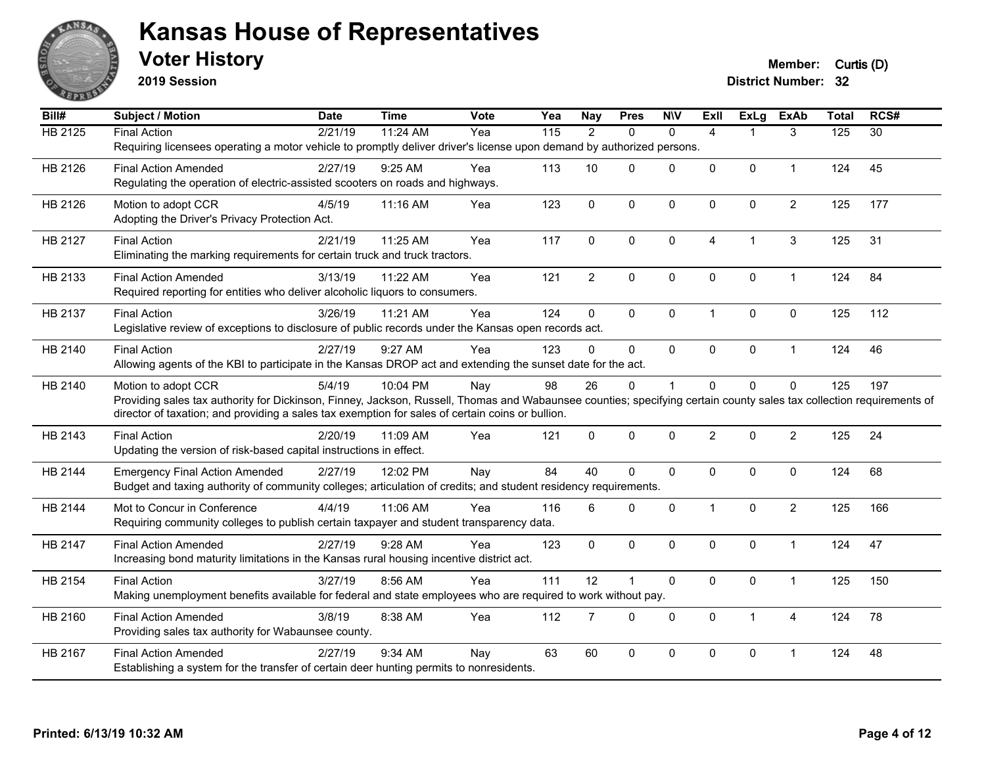

**2019 Session**

| Bill#          | <b>Subject / Motion</b>                                                                                                                                              | <b>Date</b> | <b>Time</b> | Vote | Yea | <b>Nay</b>     | <b>Pres</b>  | <b>N\V</b>   | <b>Exll</b>    | ExLg                 | <b>ExAb</b>    | <b>Total</b> | RCS#            |
|----------------|----------------------------------------------------------------------------------------------------------------------------------------------------------------------|-------------|-------------|------|-----|----------------|--------------|--------------|----------------|----------------------|----------------|--------------|-----------------|
| <b>HB 2125</b> | <b>Final Action</b>                                                                                                                                                  | 2/21/19     | 11:24 AM    | Yea  | 115 | 2              | $\Omega$     | $\mathbf{0}$ | $\overline{4}$ |                      | 3              | 125          | $\overline{30}$ |
|                | Requiring licensees operating a motor vehicle to promptly deliver driver's license upon demand by authorized persons.                                                |             |             |      |     |                |              |              |                |                      |                |              |                 |
| HB 2126        | <b>Final Action Amended</b>                                                                                                                                          | 2/27/19     | $9:25$ AM   | Yea  | 113 | 10             | $\Omega$     | $\Omega$     | $\Omega$       | $\Omega$             | $\mathbf{1}$   | 124          | 45              |
|                | Regulating the operation of electric-assisted scooters on roads and highways.                                                                                        |             |             |      |     |                |              |              |                |                      |                |              |                 |
| HB 2126        | Motion to adopt CCR                                                                                                                                                  | 4/5/19      | 11:16 AM    | Yea  | 123 | $\mathbf 0$    | 0            | $\mathbf 0$  | 0              | $\pmb{0}$            | $\overline{c}$ | 125          | 177             |
|                | Adopting the Driver's Privacy Protection Act.                                                                                                                        |             |             |      |     |                |              |              |                |                      |                |              |                 |
| HB 2127        | <b>Final Action</b>                                                                                                                                                  | 2/21/19     | 11:25 AM    | Yea  | 117 | $\Omega$       | $\Omega$     | $\mathbf{0}$ | $\overline{4}$ | $\blacktriangleleft$ | $\sqrt{3}$     | 125          | 31              |
|                | Eliminating the marking requirements for certain truck and truck tractors.                                                                                           |             |             |      |     |                |              |              |                |                      |                |              |                 |
| HB 2133        | <b>Final Action Amended</b>                                                                                                                                          | 3/13/19     |             | Yea  | 121 | $\overline{2}$ | 0            | $\pmb{0}$    | 0              | $\mathbf 0$          | $\mathbf{1}$   | 124          | 84              |
|                | Required reporting for entities who deliver alcoholic liquors to consumers.                                                                                          |             | 11:22 AM    |      |     |                |              |              |                |                      |                |              |                 |
|                |                                                                                                                                                                      |             |             |      |     |                |              |              |                |                      |                |              |                 |
| HB 2137        | <b>Final Action</b>                                                                                                                                                  | 3/26/19     | 11:21 AM    | Yea  | 124 | $\mathbf 0$    | 0            | $\pmb{0}$    | $\overline{1}$ | $\pmb{0}$            | $\pmb{0}$      | 125          | 112             |
|                | Legislative review of exceptions to disclosure of public records under the Kansas open records act.                                                                  |             |             |      |     |                |              |              |                |                      |                |              |                 |
| HB 2140        | <b>Final Action</b>                                                                                                                                                  | 2/27/19     | 9:27 AM     | Yea  | 123 | $\Omega$       | $\Omega$     | $\mathbf{0}$ | $\Omega$       | 0                    | $\mathbf{1}$   | 124          | 46              |
|                | Allowing agents of the KBI to participate in the Kansas DROP act and extending the sunset date for the act.                                                          |             |             |      |     |                |              |              |                |                      |                |              |                 |
| HB 2140        | Motion to adopt CCR                                                                                                                                                  | 5/4/19      | 10:04 PM    | Nay  | 98  | 26             | 0            | 1            | 0              | $\mathbf 0$          | $\mathbf 0$    | 125          | 197             |
|                | Providing sales tax authority for Dickinson, Finney, Jackson, Russell, Thomas and Wabaunsee counties; specifying certain county sales tax collection requirements of |             |             |      |     |                |              |              |                |                      |                |              |                 |
|                | director of taxation; and providing a sales tax exemption for sales of certain coins or bullion.                                                                     |             |             |      |     |                |              |              |                |                      |                |              |                 |
| HB 2143        | <b>Final Action</b>                                                                                                                                                  | 2/20/19     | 11:09 AM    | Yea  | 121 | $\mathbf{0}$   | 0            | $\mathbf 0$  | $\overline{2}$ | $\mathbf{0}$         | $\overline{c}$ | 125          | 24              |
|                | Updating the version of risk-based capital instructions in effect.                                                                                                   |             |             |      |     |                |              |              |                |                      |                |              |                 |
| HB 2144        | <b>Emergency Final Action Amended</b>                                                                                                                                | 2/27/19     | 12:02 PM    | Nay  | 84  | 40             | 0            | $\mathbf 0$  | 0              | 0                    | $\mathbf 0$    | 124          | 68              |
|                | Budget and taxing authority of community colleges; articulation of credits; and student residency requirements.                                                      |             |             |      |     |                |              |              |                |                      |                |              |                 |
| HB 2144        | Mot to Concur in Conference                                                                                                                                          | 4/4/19      | 11:06 AM    | Yea  | 116 | 6              | $\Omega$     | $\mathbf 0$  | $\mathbf 1$    | $\mathbf{0}$         | $\overline{2}$ | 125          | 166             |
|                | Requiring community colleges to publish certain taxpayer and student transparency data.                                                                              |             |             |      |     |                |              |              |                |                      |                |              |                 |
| HB 2147        | <b>Final Action Amended</b>                                                                                                                                          | 2/27/19     | 9:28 AM     | Yea  | 123 | $\mathbf 0$    | 0            | $\mathbf 0$  | $\Omega$       | $\mathbf{0}$         | $\mathbf{1}$   | 124          | 47              |
|                | Increasing bond maturity limitations in the Kansas rural housing incentive district act.                                                                             |             |             |      |     |                |              |              |                |                      |                |              |                 |
| HB 2154        | <b>Final Action</b>                                                                                                                                                  | 3/27/19     | 8:56 AM     | Yea  | 111 | 12             | $\mathbf{1}$ | $\mathbf 0$  | $\Omega$       | $\mathbf 0$          | $\mathbf{1}$   | 125          | 150             |
|                | Making unemployment benefits available for federal and state employees who are required to work without pay.                                                         |             |             |      |     |                |              |              |                |                      |                |              |                 |
|                |                                                                                                                                                                      |             |             |      |     |                |              |              |                |                      |                |              |                 |
| HB 2160        | <b>Final Action Amended</b>                                                                                                                                          | 3/8/19      | 8:38 AM     | Yea  | 112 | 7              | $\mathbf 0$  | $\mathbf 0$  | $\mathbf 0$    | 1                    | $\overline{4}$ | 124          | 78              |
|                | Providing sales tax authority for Wabaunsee county.                                                                                                                  |             |             |      |     |                |              |              |                |                      |                |              |                 |
| HB 2167        | <b>Final Action Amended</b>                                                                                                                                          | 2/27/19     | 9:34 AM     | Nay  | 63  | 60             | 0            | 0            | 0              | 0                    | 1              | 124          | 48              |
|                | Establishing a system for the transfer of certain deer hunting permits to nonresidents.                                                                              |             |             |      |     |                |              |              |                |                      |                |              |                 |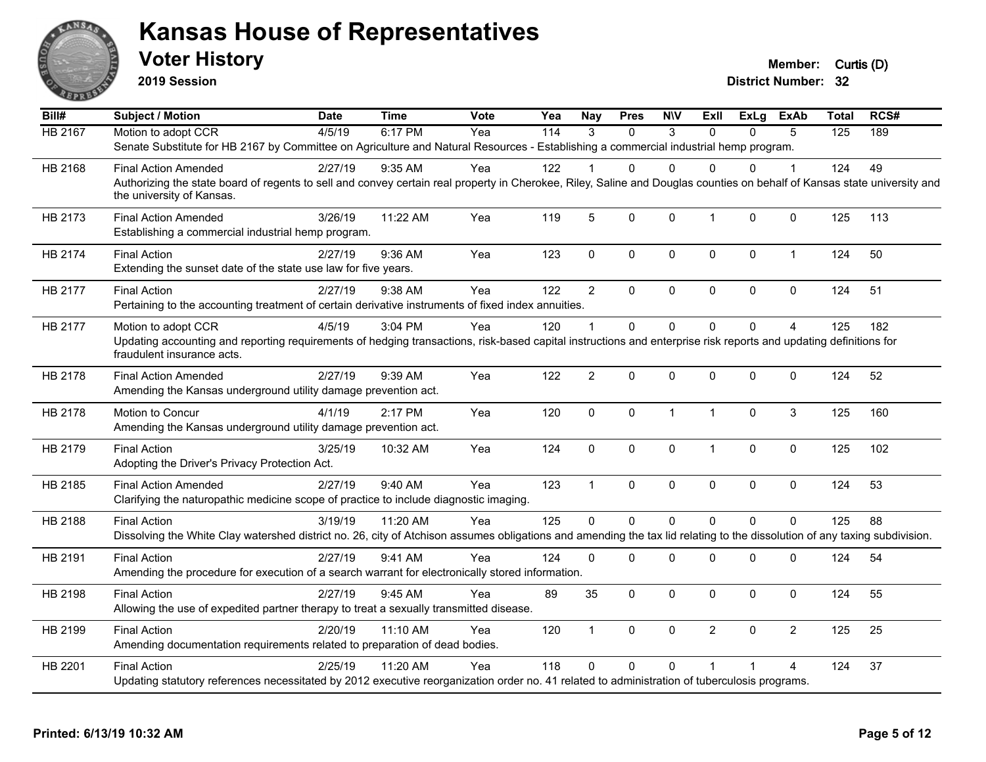

**2019 Session**

| Bill#          | <b>Subject / Motion</b>                                                                                                                                                                                               | <b>Date</b> | <b>Time</b> | <b>Vote</b> | Yea | <b>Nay</b>     | <b>Pres</b> | <b>NIV</b>    | ExII           | <b>ExLg</b> | <b>ExAb</b>    | <b>Total</b> | RCS# |
|----------------|-----------------------------------------------------------------------------------------------------------------------------------------------------------------------------------------------------------------------|-------------|-------------|-------------|-----|----------------|-------------|---------------|----------------|-------------|----------------|--------------|------|
| <b>HB 2167</b> | Motion to adopt CCR                                                                                                                                                                                                   | 4/5/19      | 6:17 PM     | Yea         | 114 | 3              | $\Omega$    | $\mathcal{S}$ | $\Omega$       | $\Omega$    | 5              | 125          | 189  |
|                | Senate Substitute for HB 2167 by Committee on Agriculture and Natural Resources - Establishing a commercial industrial hemp program.                                                                                  |             |             |             |     |                |             |               |                |             |                |              |      |
| HB 2168        | <b>Final Action Amended</b>                                                                                                                                                                                           | 2/27/19     | $9:35$ AM   | Yea         | 122 |                | 0           | $\Omega$      | $\Omega$       | $\Omega$    | 1              | 124          | 49   |
|                | Authorizing the state board of regents to sell and convey certain real property in Cherokee, Riley, Saline and Douglas counties on behalf of Kansas state university and<br>the university of Kansas.                 |             |             |             |     |                |             |               |                |             |                |              |      |
| HB 2173        | <b>Final Action Amended</b><br>Establishing a commercial industrial hemp program.                                                                                                                                     | 3/26/19     | 11:22 AM    | Yea         | 119 | 5              | 0           | $\mathbf{0}$  | $\mathbf{1}$   | $\Omega$    | $\mathbf 0$    | 125          | 113  |
| HB 2174        | <b>Final Action</b><br>Extending the sunset date of the state use law for five years.                                                                                                                                 | 2/27/19     | 9:36 AM     | Yea         | 123 | $\mathbf 0$    | 0           | $\mathbf 0$   | $\mathbf 0$    | $\mathbf 0$ | $\mathbf{1}$   | 124          | 50   |
| HB 2177        | <b>Final Action</b><br>Pertaining to the accounting treatment of certain derivative instruments of fixed index annuities.                                                                                             | 2/27/19     | 9:38 AM     | Yea         | 122 | $\overline{2}$ | $\Omega$    | $\pmb{0}$     | $\mathbf 0$    | $\Omega$    | $\mathbf 0$    | 124          | 51   |
| HB 2177        | Motion to adopt CCR<br>Updating accounting and reporting requirements of hedging transactions, risk-based capital instructions and enterprise risk reports and updating definitions for<br>fraudulent insurance acts. | 4/5/19      | 3:04 PM     | Yea         | 120 | $\overline{1}$ | $\Omega$    | 0             | $\mathbf 0$    | $\Omega$    | $\overline{4}$ | 125          | 182  |
| HB 2178        | <b>Final Action Amended</b><br>Amending the Kansas underground utility damage prevention act.                                                                                                                         | 2/27/19     | 9:39 AM     | Yea         | 122 | 2              | 0           | $\mathbf 0$   | $\mathbf 0$    | 0           | $\mathbf 0$    | 124          | 52   |
| HB 2178        | Motion to Concur<br>Amending the Kansas underground utility damage prevention act.                                                                                                                                    | 4/1/19      | 2:17 PM     | Yea         | 120 | $\mathbf 0$    | 0           | $\mathbf{1}$  | $\mathbf{1}$   | $\Omega$    | 3              | 125          | 160  |
| HB 2179        | <b>Final Action</b><br>Adopting the Driver's Privacy Protection Act.                                                                                                                                                  | 3/25/19     | 10:32 AM    | Yea         | 124 | $\mathsf 0$    | 0           | $\pmb{0}$     | $\mathbf{1}$   | 0           | $\pmb{0}$      | 125          | 102  |
| HB 2185        | <b>Final Action Amended</b><br>Clarifying the naturopathic medicine scope of practice to include diagnostic imaging.                                                                                                  | 2/27/19     | 9:40 AM     | Yea         | 123 | $\overline{1}$ | 0           | $\pmb{0}$     | $\Omega$       | $\Omega$    | $\pmb{0}$      | 124          | 53   |
| HB 2188        | <b>Final Action</b><br>Dissolving the White Clay watershed district no. 26, city of Atchison assumes obligations and amending the tax lid relating to the dissolution of any taxing subdivision.                      | 3/19/19     | 11:20 AM    | Yea         | 125 | $\Omega$       | $\Omega$    | $\Omega$      | $\Omega$       | $\Omega$    | $\Omega$       | 125          | 88   |
| HB 2191        | <b>Final Action</b><br>Amending the procedure for execution of a search warrant for electronically stored information.                                                                                                | 2/27/19     | 9:41 AM     | Yea         | 124 | $\mathbf 0$    | $\Omega$    | 0             | $\mathbf 0$    | 0           | 0              | 124          | 54   |
| HB 2198        | <b>Final Action</b><br>Allowing the use of expedited partner therapy to treat a sexually transmitted disease.                                                                                                         | 2/27/19     | 9:45 AM     | Yea         | 89  | 35             | $\Omega$    | $\mathbf 0$   | $\mathbf{0}$   | $\Omega$    | 0              | 124          | 55   |
| HB 2199        | <b>Final Action</b><br>Amending documentation requirements related to preparation of dead bodies.                                                                                                                     | 2/20/19     | 11:10 AM    | Yea         | 120 | $\overline{1}$ | $\Omega$    | $\mathbf 0$   | $\overline{2}$ | $\Omega$    | $\overline{2}$ | 125          | 25   |
| HB 2201        | <b>Final Action</b><br>Updating statutory references necessitated by 2012 executive reorganization order no. 41 related to administration of tuberculosis programs.                                                   | 2/25/19     | 11:20 AM    | Yea         | 118 | $\Omega$       | $\Omega$    | $\Omega$      |                |             | 4              | 124          | 37   |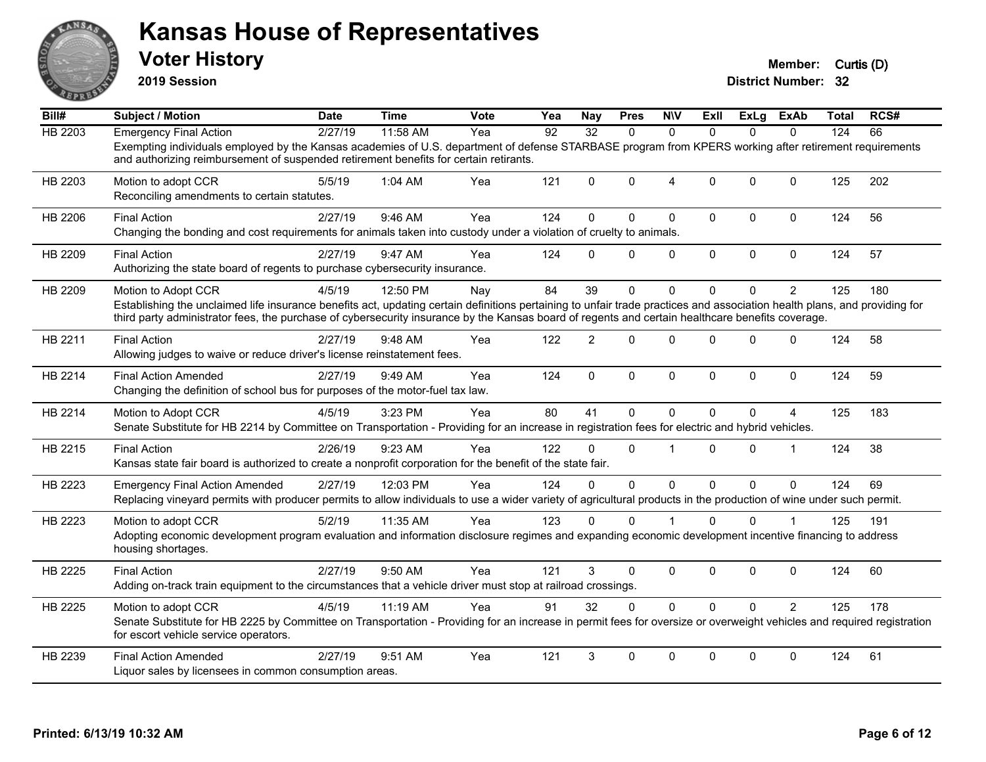

**2019 Session**

| Bill#          | <b>Subject / Motion</b>                                                                                                                                                                                                                                                                                                                              | <b>Date</b> | <b>Time</b> | <b>Vote</b> | Yea | Nav            | <b>Pres</b> | <b>NIV</b>     | ExII         | ExLg     | <b>ExAb</b>    | <b>Total</b> | RCS# |
|----------------|------------------------------------------------------------------------------------------------------------------------------------------------------------------------------------------------------------------------------------------------------------------------------------------------------------------------------------------------------|-------------|-------------|-------------|-----|----------------|-------------|----------------|--------------|----------|----------------|--------------|------|
| <b>HB 2203</b> | <b>Emergency Final Action</b>                                                                                                                                                                                                                                                                                                                        | 2/27/19     | 11:58 AM    | Yea         | 92  | 32             | $\Omega$    | $\Omega$       | $\Omega$     | $\Omega$ | $\Omega$       | 124          | 66   |
|                | Exempting individuals employed by the Kansas academies of U.S. department of defense STARBASE program from KPERS working after retirement requirements<br>and authorizing reimbursement of suspended retirement benefits for certain retirants.                                                                                                      |             |             |             |     |                |             |                |              |          |                |              |      |
| HB 2203        | Motion to adopt CCR<br>Reconciling amendments to certain statutes.                                                                                                                                                                                                                                                                                   | 5/5/19      | 1:04 AM     | Yea         | 121 | $\Omega$       | $\Omega$    | $\overline{4}$ | $\Omega$     | $\Omega$ | $\mathbf{0}$   | 125          | 202  |
| HB 2206        | <b>Final Action</b><br>Changing the bonding and cost requirements for animals taken into custody under a violation of cruelty to animals.                                                                                                                                                                                                            | 2/27/19     | 9:46 AM     | Yea         | 124 | 0              | 0           | $\mathbf 0$    | $\Omega$     | 0        | $\mathbf 0$    | 124          | 56   |
| HB 2209        | <b>Final Action</b><br>Authorizing the state board of regents to purchase cybersecurity insurance.                                                                                                                                                                                                                                                   | 2/27/19     | 9:47 AM     | Yea         | 124 | $\Omega$       | 0           | $\mathbf 0$    | $\mathbf 0$  | 0        | $\mathbf 0$    | 124          | 57   |
| HB 2209        | Motion to Adopt CCR<br>Establishing the unclaimed life insurance benefits act, updating certain definitions pertaining to unfair trade practices and association health plans, and providing for<br>third party administrator fees, the purchase of cybersecurity insurance by the Kansas board of regents and certain healthcare benefits coverage. | 4/5/19      | 12:50 PM    | Nay         | 84  | 39             | 0           | $\mathbf{0}$   | $\Omega$     | $\Omega$ | $\overline{2}$ | 125          | 180  |
| HB 2211        | <b>Final Action</b><br>Allowing judges to waive or reduce driver's license reinstatement fees.                                                                                                                                                                                                                                                       | 2/27/19     | 9:48 AM     | Yea         | 122 | $\overline{2}$ | $\Omega$    | $\mathbf 0$    | $\Omega$     | $\Omega$ | $\mathbf{0}$   | 124          | 58   |
| HB 2214        | <b>Final Action Amended</b><br>Changing the definition of school bus for purposes of the motor-fuel tax law.                                                                                                                                                                                                                                         | 2/27/19     | 9:49 AM     | Yea         | 124 | $\mathbf 0$    | 0           | $\mathbf 0$    | $\mathbf{0}$ | 0        | $\mathbf 0$    | 124          | 59   |
| HB 2214        | Motion to Adopt CCR<br>Senate Substitute for HB 2214 by Committee on Transportation - Providing for an increase in registration fees for electric and hybrid vehicles.                                                                                                                                                                               | 4/5/19      | 3:23 PM     | Yea         | 80  | 41             | 0           | $\mathbf{0}$   | $\Omega$     | $\Omega$ | 4              | 125          | 183  |
| HB 2215        | <b>Final Action</b><br>Kansas state fair board is authorized to create a nonprofit corporation for the benefit of the state fair.                                                                                                                                                                                                                    | 2/26/19     | 9:23 AM     | Yea         | 122 | $\Omega$       | $\Omega$    | $\overline{1}$ | $\Omega$     | $\Omega$ | $\mathbf{1}$   | 124          | 38   |
| HB 2223        | <b>Emergency Final Action Amended</b><br>Replacing vineyard permits with producer permits to allow individuals to use a wider variety of agricultural products in the production of wine under such permit.                                                                                                                                          | 2/27/19     | 12:03 PM    | Yea         | 124 | 0              | $\Omega$    | $\mathbf{0}$   | $\Omega$     | $\Omega$ | $\mathbf{0}$   | 124          | 69   |
| HB 2223        | Motion to adopt CCR<br>Adopting economic development program evaluation and information disclosure regimes and expanding economic development incentive financing to address<br>housing shortages.                                                                                                                                                   | 5/2/19      | 11:35 AM    | Yea         | 123 | $\Omega$       | 0           |                | $\Omega$     | 0        |                | 125          | 191  |
| HB 2225        | <b>Final Action</b><br>Adding on-track train equipment to the circumstances that a vehicle driver must stop at railroad crossings.                                                                                                                                                                                                                   | 2/27/19     | 9:50 AM     | Yea         | 121 | 3              | 0           | $\mathbf 0$    | $\Omega$     | $\Omega$ | $\mathbf{0}$   | 124          | 60   |
| HB 2225        | Motion to adopt CCR<br>Senate Substitute for HB 2225 by Committee on Transportation - Providing for an increase in permit fees for oversize or overweight vehicles and required registration<br>for escort vehicle service operators.                                                                                                                | 4/5/19      | 11:19 AM    | Yea         | 91  | 32             | $\Omega$    | $\mathbf{0}$   | $\Omega$     | $\Omega$ | $\overline{2}$ | 125          | 178  |
| HB 2239        | <b>Final Action Amended</b><br>Liquor sales by licensees in common consumption areas.                                                                                                                                                                                                                                                                | 2/27/19     | 9:51 AM     | Yea         | 121 | 3              | 0           | $\mathbf{0}$   | $\Omega$     | $\Omega$ | $\mathbf{0}$   | 124          | 61   |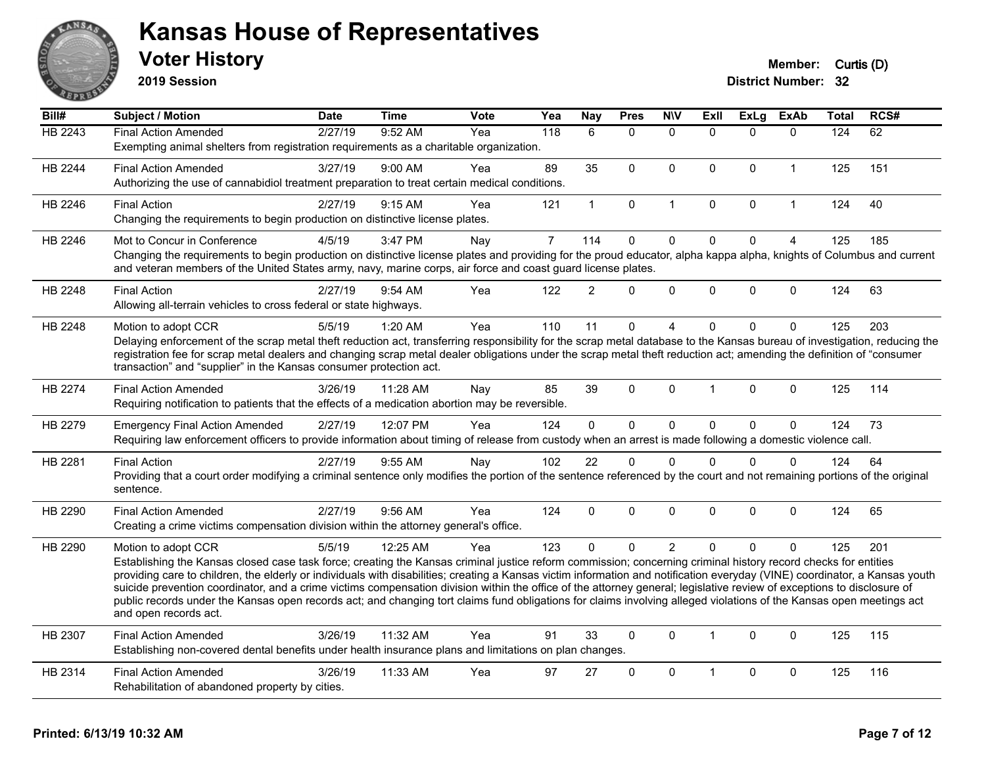

**2019 Session**

| Bill#   | Subject / Motion                                                                                                                                                                                                                                                                                                                                      | <b>Date</b> | <b>Time</b> | Vote | Yea            | Nay            | <b>Pres</b>  | <b>N\V</b>     | <b>Exll</b>  | <b>ExLg</b> | <b>ExAb</b>    | <b>Total</b> | RCS# |
|---------|-------------------------------------------------------------------------------------------------------------------------------------------------------------------------------------------------------------------------------------------------------------------------------------------------------------------------------------------------------|-------------|-------------|------|----------------|----------------|--------------|----------------|--------------|-------------|----------------|--------------|------|
| HB 2243 | <b>Final Action Amended</b>                                                                                                                                                                                                                                                                                                                           | 2/27/19     | 9:52 AM     | Yea  | 118            | 6              | $\Omega$     | $\mathbf{0}$   | $\Omega$     | $\Omega$    | $\mathbf{0}$   | 124          | 62   |
|         | Exempting animal shelters from registration requirements as a charitable organization.                                                                                                                                                                                                                                                                |             |             |      |                |                |              |                |              |             |                |              |      |
| HB 2244 | <b>Final Action Amended</b>                                                                                                                                                                                                                                                                                                                           | 3/27/19     | 9:00 AM     | Yea  | 89             | 35             | $\mathbf{0}$ | $\mathbf{0}$   | $\mathbf{0}$ | $\Omega$    | $\mathbf{1}$   | 125          | 151  |
|         | Authorizing the use of cannabidiol treatment preparation to treat certain medical conditions.                                                                                                                                                                                                                                                         |             |             |      |                |                |              |                |              |             |                |              |      |
| HB 2246 | <b>Final Action</b>                                                                                                                                                                                                                                                                                                                                   | 2/27/19     | 9:15 AM     | Yea  | 121            | $\mathbf 1$    | $\pmb{0}$    | $\mathbf{1}$   | $\mathbf 0$  | $\mathbf 0$ | $\mathbf{1}$   | 124          | 40   |
|         | Changing the requirements to begin production on distinctive license plates.                                                                                                                                                                                                                                                                          |             |             |      |                |                |              |                |              |             |                |              |      |
| HB 2246 | Mot to Concur in Conference                                                                                                                                                                                                                                                                                                                           | 4/5/19      | 3:47 PM     | Nay  | $\overline{7}$ | 114            | $\mathbf 0$  | $\mathbf 0$    | $\mathbf 0$  | $\mathbf 0$ | $\overline{4}$ | 125          | 185  |
|         | Changing the requirements to begin production on distinctive license plates and providing for the proud educator, alpha kappa alpha, knights of Columbus and current<br>and veteran members of the United States army, navy, marine corps, air force and coast guard license plates.                                                                  |             |             |      |                |                |              |                |              |             |                |              |      |
| HB 2248 | <b>Final Action</b>                                                                                                                                                                                                                                                                                                                                   | 2/27/19     | $9:54$ AM   | Yea  | 122            | $\overline{2}$ | $\Omega$     | $\mathbf 0$    | $\Omega$     | $\mathbf 0$ | $\mathbf{0}$   | 124          | 63   |
|         | Allowing all-terrain vehicles to cross federal or state highways.                                                                                                                                                                                                                                                                                     |             |             |      |                |                |              |                |              |             |                |              |      |
| HB 2248 | Motion to adopt CCR                                                                                                                                                                                                                                                                                                                                   | 5/5/19      | 1:20 AM     | Yea  | 110            | 11             | $\mathbf 0$  | 4              | $\Omega$     | $\Omega$    | $\mathbf 0$    | 125          | 203  |
|         | Delaying enforcement of the scrap metal theft reduction act, transferring responsibility for the scrap metal database to the Kansas bureau of investigation, reducing the                                                                                                                                                                             |             |             |      |                |                |              |                |              |             |                |              |      |
|         | registration fee for scrap metal dealers and changing scrap metal dealer obligations under the scrap metal theft reduction act; amending the definition of "consumer<br>transaction" and "supplier" in the Kansas consumer protection act.                                                                                                            |             |             |      |                |                |              |                |              |             |                |              |      |
|         |                                                                                                                                                                                                                                                                                                                                                       |             |             |      |                |                |              |                |              |             |                |              |      |
| HB 2274 | <b>Final Action Amended</b>                                                                                                                                                                                                                                                                                                                           | 3/26/19     | 11:28 AM    | Nay  | 85             | 39             | $\mathbf 0$  | $\Omega$       | 1            | $\Omega$    | $\mathbf 0$    | 125          | 114  |
|         | Requiring notification to patients that the effects of a medication abortion may be reversible.                                                                                                                                                                                                                                                       |             |             |      |                |                |              |                |              |             |                |              |      |
| HB 2279 | <b>Emergency Final Action Amended</b>                                                                                                                                                                                                                                                                                                                 | 2/27/19     | 12:07 PM    | Yea  | 124            | $\overline{0}$ | $\mathbf 0$  | $\mathbf 0$    | $\Omega$     | $\mathbf 0$ | $\mathbf{0}$   | 124          | 73   |
|         | Requiring law enforcement officers to provide information about timing of release from custody when an arrest is made following a domestic violence call.                                                                                                                                                                                             |             |             |      |                |                |              |                |              |             |                |              |      |
| HB 2281 | <b>Final Action</b>                                                                                                                                                                                                                                                                                                                                   | 2/27/19     | 9:55 AM     | Nay  | 102            | 22             | $\Omega$     | $\mathbf{0}$   | $\Omega$     | $\Omega$    | $\mathbf{0}$   | 124          | 64   |
|         | Providing that a court order modifying a criminal sentence only modifies the portion of the sentence referenced by the court and not remaining portions of the original                                                                                                                                                                               |             |             |      |                |                |              |                |              |             |                |              |      |
|         | sentence.                                                                                                                                                                                                                                                                                                                                             |             |             |      |                |                |              |                |              |             |                |              |      |
| HB 2290 | <b>Final Action Amended</b>                                                                                                                                                                                                                                                                                                                           | 2/27/19     | 9:56 AM     | Yea  | 124            | $\Omega$       | $\Omega$     | $\Omega$       | $\Omega$     | $\Omega$    | $\mathbf{0}$   | 124          | 65   |
|         | Creating a crime victims compensation division within the attorney general's office.                                                                                                                                                                                                                                                                  |             |             |      |                |                |              |                |              |             |                |              |      |
| HB 2290 | Motion to adopt CCR                                                                                                                                                                                                                                                                                                                                   | 5/5/19      | 12:25 AM    | Yea  | 123            | $\Omega$       | $\mathbf{0}$ | $\overline{2}$ | $\Omega$     | $\Omega$    | $\Omega$       | 125          | 201  |
|         | Establishing the Kansas closed case task force; creating the Kansas criminal justice reform commission; concerning criminal history record checks for entities                                                                                                                                                                                        |             |             |      |                |                |              |                |              |             |                |              |      |
|         | providing care to children, the elderly or individuals with disabilities; creating a Kansas victim information and notification everyday (VINE) coordinator, a Kansas youth<br>suicide prevention coordinator, and a crime victims compensation division within the office of the attorney general; legislative review of exceptions to disclosure of |             |             |      |                |                |              |                |              |             |                |              |      |
|         | public records under the Kansas open records act; and changing tort claims fund obligations for claims involving alleged violations of the Kansas open meetings act                                                                                                                                                                                   |             |             |      |                |                |              |                |              |             |                |              |      |
|         | and open records act.                                                                                                                                                                                                                                                                                                                                 |             |             |      |                |                |              |                |              |             |                |              |      |
| HB 2307 | <b>Final Action Amended</b>                                                                                                                                                                                                                                                                                                                           | 3/26/19     | 11:32 AM    | Yea  | 91             | 33             | $\mathbf{0}$ | $\mathbf{0}$   | $\mathbf{1}$ | $\Omega$    | $\mathbf{0}$   | 125          | 115  |
|         | Establishing non-covered dental benefits under health insurance plans and limitations on plan changes.                                                                                                                                                                                                                                                |             |             |      |                |                |              |                |              |             |                |              |      |
| HB 2314 | <b>Final Action Amended</b>                                                                                                                                                                                                                                                                                                                           | 3/26/19     | 11:33 AM    | Yea  | 97             | 27             | $\mathbf{0}$ | $\mathbf{0}$   | 1            | $\Omega$    | $\mathbf{0}$   | 125          | 116  |
|         | Rehabilitation of abandoned property by cities.                                                                                                                                                                                                                                                                                                       |             |             |      |                |                |              |                |              |             |                |              |      |
|         |                                                                                                                                                                                                                                                                                                                                                       |             |             |      |                |                |              |                |              |             |                |              |      |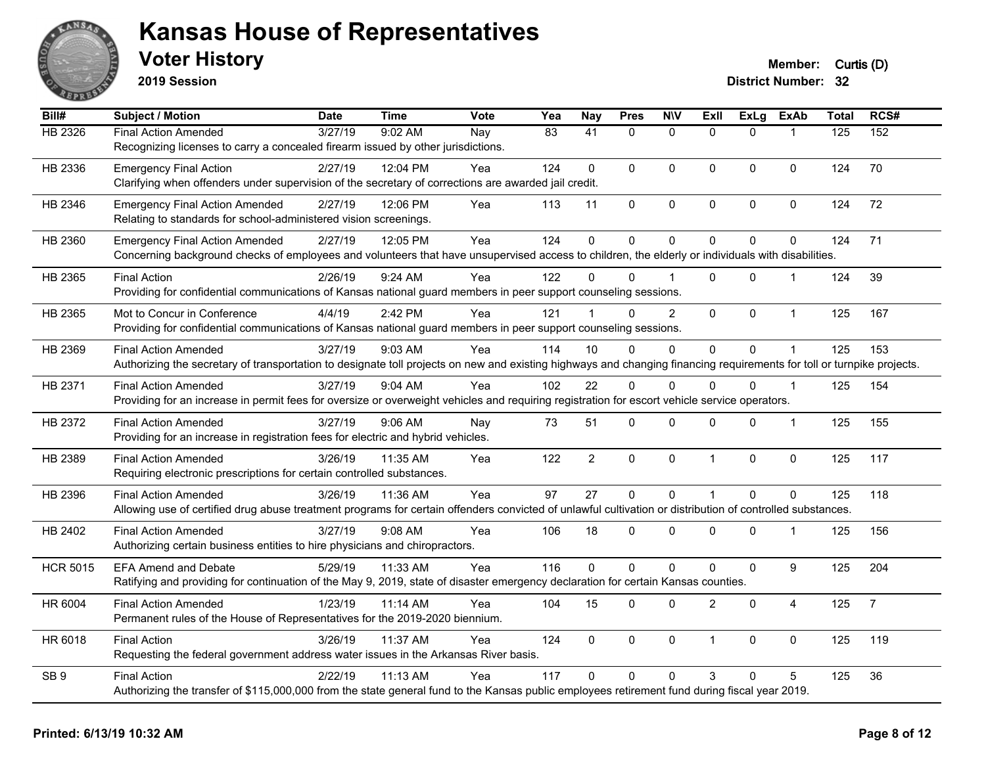

**2019 Session**

| Bill#           | Subject / Motion                                                                                                                                                       | <b>Date</b> | <b>Time</b> | <b>Vote</b> | Yea | <b>Nay</b>      | <b>Pres</b>  | <b>N\V</b>     | ExIl           | <b>ExLg</b> | <b>ExAb</b>    | <b>Total</b> | RCS#           |
|-----------------|------------------------------------------------------------------------------------------------------------------------------------------------------------------------|-------------|-------------|-------------|-----|-----------------|--------------|----------------|----------------|-------------|----------------|--------------|----------------|
| HB 2326         | <b>Final Action Amended</b>                                                                                                                                            | 3/27/19     | 9:02 AM     | Nay         | 83  | $\overline{41}$ | $\Omega$     | $\mathbf{0}$   | $\Omega$       | $\Omega$    |                | 125          | 152            |
|                 | Recognizing licenses to carry a concealed firearm issued by other jurisdictions.                                                                                       |             |             |             |     |                 |              |                |                |             |                |              |                |
| HB 2336         | <b>Emergency Final Action</b>                                                                                                                                          | 2/27/19     | 12:04 PM    | Yea         | 124 | 0               | 0            | $\pmb{0}$      | 0              | $\mathbf 0$ | $\mathbf 0$    | 124          | 70             |
|                 | Clarifying when offenders under supervision of the secretary of corrections are awarded jail credit.                                                                   |             |             |             |     |                 |              |                |                |             |                |              |                |
| HB 2346         | <b>Emergency Final Action Amended</b>                                                                                                                                  | 2/27/19     | 12:06 PM    | Yea         | 113 | 11              | 0            | $\pmb{0}$      | 0              | 0           | 0              | 124          | 72             |
|                 | Relating to standards for school-administered vision screenings.                                                                                                       |             |             |             |     |                 |              |                |                |             |                |              |                |
| HB 2360         | <b>Emergency Final Action Amended</b>                                                                                                                                  | 2/27/19     | 12:05 PM    | Yea         | 124 | 0               | $\mathbf 0$  | $\pmb{0}$      | $\Omega$       | 0           | $\mathbf 0$    | 124          | 71             |
|                 | Concerning background checks of employees and volunteers that have unsupervised access to children, the elderly or individuals with disabilities.                      |             |             |             |     |                 |              |                |                |             |                |              |                |
| HB 2365         | <b>Final Action</b>                                                                                                                                                    | 2/26/19     | $9:24$ AM   | Yea         | 122 | 0               | $\Omega$     |                | 0              | $\Omega$    | $\mathbf{1}$   | 124          | 39             |
|                 | Providing for confidential communications of Kansas national guard members in peer support counseling sessions.                                                        |             |             |             |     |                 |              |                |                |             |                |              |                |
| HB 2365         | Mot to Concur in Conference                                                                                                                                            | 4/4/19      | 2:42 PM     | Yea         | 121 |                 | $\Omega$     | $\overline{c}$ | $\mathbf{0}$   | 0           | $\mathbf{1}$   | 125          | 167            |
|                 | Providing for confidential communications of Kansas national guard members in peer support counseling sessions.                                                        |             |             |             |     |                 |              |                |                |             |                |              |                |
| HB 2369         | <b>Final Action Amended</b>                                                                                                                                            | 3/27/19     | 9:03 AM     | Yea         | 114 | 10              | 0            | $\mathbf 0$    | 0              | 0           | 1              | 125          | 153            |
|                 | Authorizing the secretary of transportation to designate toll projects on new and existing highways and changing financing requirements for toll or turnpike projects. |             |             |             |     |                 |              |                |                |             |                |              |                |
| HB 2371         | <b>Final Action Amended</b>                                                                                                                                            | 3/27/19     | 9:04 AM     | Yea         | 102 | 22              | $\Omega$     | $\Omega$       | $\Omega$       | $\Omega$    | $\mathbf{1}$   | 125          | 154            |
|                 | Providing for an increase in permit fees for oversize or overweight vehicles and requiring registration for escort vehicle service operators.                          |             |             |             |     |                 |              |                |                |             |                |              |                |
| HB 2372         | <b>Final Action Amended</b>                                                                                                                                            | 3/27/19     | 9:06 AM     | Nay         | 73  | 51              | 0            | $\mathbf 0$    | 0              | 0           | $\mathbf{1}$   | 125          | 155            |
|                 | Providing for an increase in registration fees for electric and hybrid vehicles.                                                                                       |             |             |             |     |                 |              |                |                |             |                |              |                |
| HB 2389         | <b>Final Action Amended</b>                                                                                                                                            | 3/26/19     | 11:35 AM    | Yea         | 122 | $\overline{2}$  | $\mathbf 0$  | $\mathbf 0$    | $\mathbf{1}$   | $\mathbf 0$ | $\mathbf 0$    | 125          | 117            |
|                 | Requiring electronic prescriptions for certain controlled substances.                                                                                                  |             |             |             |     |                 |              |                |                |             |                |              |                |
| HB 2396         | <b>Final Action Amended</b>                                                                                                                                            | 3/26/19     | 11:36 AM    | Yea         | 97  | 27              | $\mathbf 0$  | $\mathbf 0$    | $\mathbf{1}$   | $\mathbf 0$ | $\mathbf 0$    | 125          | 118            |
|                 | Allowing use of certified drug abuse treatment programs for certain offenders convicted of unlawful cultivation or distribution of controlled substances.              |             |             |             |     |                 |              |                |                |             |                |              |                |
| HB 2402         | <b>Final Action Amended</b>                                                                                                                                            | 3/27/19     | $9:08$ AM   | Yea         | 106 | 18              | 0            | $\Omega$       | 0              | $\Omega$    | $\mathbf 1$    | 125          | 156            |
|                 | Authorizing certain business entities to hire physicians and chiropractors.                                                                                            |             |             |             |     |                 |              |                |                |             |                |              |                |
| <b>HCR 5015</b> | <b>EFA Amend and Debate</b>                                                                                                                                            | 5/29/19     | 11:33 AM    | Yea         | 116 | $\Omega$        | $\Omega$     | $\mathbf{0}$   | $\Omega$       | $\mathbf 0$ | 9              | 125          | 204            |
|                 | Ratifying and providing for continuation of the May 9, 2019, state of disaster emergency declaration for certain Kansas counties.                                      |             |             |             |     |                 |              |                |                |             |                |              |                |
| HR 6004         | <b>Final Action Amended</b>                                                                                                                                            | 1/23/19     | 11:14 AM    | Yea         | 104 | 15              | 0            | $\pmb{0}$      | $\overline{2}$ | $\mathbf 0$ | $\overline{4}$ | 125          | $\overline{7}$ |
|                 | Permanent rules of the House of Representatives for the 2019-2020 biennium.                                                                                            |             |             |             |     |                 |              |                |                |             |                |              |                |
| HR 6018         | <b>Final Action</b>                                                                                                                                                    | 3/26/19     | 11:37 AM    | Yea         | 124 | $\Omega$        | $\mathbf{0}$ | $\pmb{0}$      | $\mathbf{1}$   | $\Omega$    | $\mathbf 0$    | 125          | 119            |
|                 | Requesting the federal government address water issues in the Arkansas River basis.                                                                                    |             |             |             |     |                 |              |                |                |             |                |              |                |
| SB <sub>9</sub> | <b>Final Action</b>                                                                                                                                                    | 2/22/19     | 11:13 AM    | Yea         | 117 | $\Omega$        | $\Omega$     | $\Omega$       | 3              | 0           | 5              | 125          | 36             |
|                 | Authorizing the transfer of \$115,000,000 from the state general fund to the Kansas public employees retirement fund during fiscal year 2019.                          |             |             |             |     |                 |              |                |                |             |                |              |                |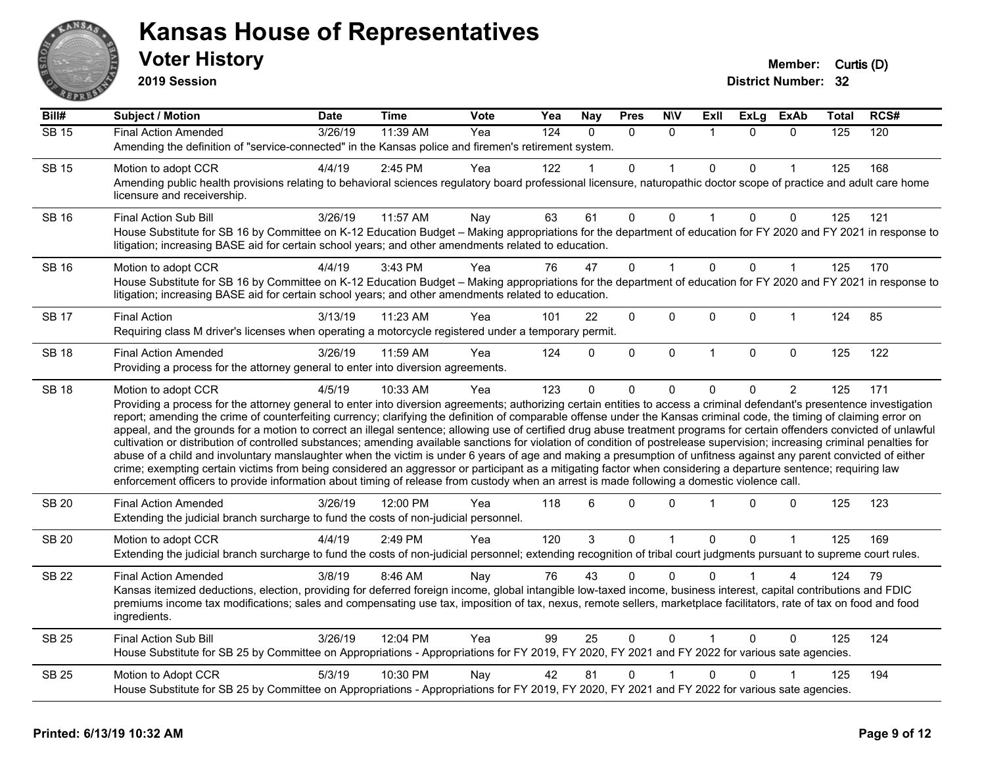

**2019 Session**

| Bill#        | <b>Subject / Motion</b>                                                                                                                                                                                                                                                                                                                                                                                                                                                                                                                                                                                                                                                                                                                                                                                                                                                                                                                                                                                                                                                                                                                                                                              | Date    | <b>Time</b> | Vote | Yea | <b>Nay</b>   | <b>Pres</b>  | <b>N\V</b>   | Exll           | ExLg     | <b>ExAb</b>    | Total | RCS# |
|--------------|------------------------------------------------------------------------------------------------------------------------------------------------------------------------------------------------------------------------------------------------------------------------------------------------------------------------------------------------------------------------------------------------------------------------------------------------------------------------------------------------------------------------------------------------------------------------------------------------------------------------------------------------------------------------------------------------------------------------------------------------------------------------------------------------------------------------------------------------------------------------------------------------------------------------------------------------------------------------------------------------------------------------------------------------------------------------------------------------------------------------------------------------------------------------------------------------------|---------|-------------|------|-----|--------------|--------------|--------------|----------------|----------|----------------|-------|------|
| $SB$ 15      | <b>Final Action Amended</b>                                                                                                                                                                                                                                                                                                                                                                                                                                                                                                                                                                                                                                                                                                                                                                                                                                                                                                                                                                                                                                                                                                                                                                          | 3/26/19 | 11:39 AM    | Yea  | 124 | $\Omega$     | $\Omega$     | $\Omega$     | $\overline{1}$ | $\Omega$ | $\Omega$       | 125   | 120  |
|              | Amending the definition of "service-connected" in the Kansas police and firemen's retirement system.                                                                                                                                                                                                                                                                                                                                                                                                                                                                                                                                                                                                                                                                                                                                                                                                                                                                                                                                                                                                                                                                                                 |         |             |      |     |              |              |              |                |          |                |       |      |
| <b>SB 15</b> | Motion to adopt CCR                                                                                                                                                                                                                                                                                                                                                                                                                                                                                                                                                                                                                                                                                                                                                                                                                                                                                                                                                                                                                                                                                                                                                                                  | 4/4/19  | 2:45 PM     | Yea  | 122 |              | $\mathbf{0}$ |              | $\mathbf{0}$   | 0        |                | 125   | 168  |
|              | Amending public health provisions relating to behavioral sciences regulatory board professional licensure, naturopathic doctor scope of practice and adult care home<br>licensure and receivership.                                                                                                                                                                                                                                                                                                                                                                                                                                                                                                                                                                                                                                                                                                                                                                                                                                                                                                                                                                                                  |         |             |      |     |              |              |              |                |          |                |       |      |
| <b>SB 16</b> | <b>Final Action Sub Bill</b>                                                                                                                                                                                                                                                                                                                                                                                                                                                                                                                                                                                                                                                                                                                                                                                                                                                                                                                                                                                                                                                                                                                                                                         | 3/26/19 | 11:57 AM    | Nay  | 63  | 61           | 0            | 0            |                | 0        | 0              | 125   | 121  |
|              | House Substitute for SB 16 by Committee on K-12 Education Budget - Making appropriations for the department of education for FY 2020 and FY 2021 in response to<br>litigation; increasing BASE aid for certain school years; and other amendments related to education.                                                                                                                                                                                                                                                                                                                                                                                                                                                                                                                                                                                                                                                                                                                                                                                                                                                                                                                              |         |             |      |     |              |              |              |                |          |                |       |      |
| <b>SB 16</b> | Motion to adopt CCR                                                                                                                                                                                                                                                                                                                                                                                                                                                                                                                                                                                                                                                                                                                                                                                                                                                                                                                                                                                                                                                                                                                                                                                  | 4/4/19  | 3:43 PM     | Yea  | 76  | 47           | $\Omega$     | 1            | $\Omega$       | $\Omega$ | $\mathbf 1$    | 125   | 170  |
|              | House Substitute for SB 16 by Committee on K-12 Education Budget - Making appropriations for the department of education for FY 2020 and FY 2021 in response to<br>litigation; increasing BASE aid for certain school years; and other amendments related to education.                                                                                                                                                                                                                                                                                                                                                                                                                                                                                                                                                                                                                                                                                                                                                                                                                                                                                                                              |         |             |      |     |              |              |              |                |          |                |       |      |
| <b>SB 17</b> | <b>Final Action</b>                                                                                                                                                                                                                                                                                                                                                                                                                                                                                                                                                                                                                                                                                                                                                                                                                                                                                                                                                                                                                                                                                                                                                                                  | 3/13/19 | 11:23 AM    | Yea  | 101 | 22           | $\Omega$     | 0            | $\Omega$       | 0        | $\mathbf{1}$   | 124   | 85   |
|              | Requiring class M driver's licenses when operating a motorcycle registered under a temporary permit.                                                                                                                                                                                                                                                                                                                                                                                                                                                                                                                                                                                                                                                                                                                                                                                                                                                                                                                                                                                                                                                                                                 |         |             |      |     |              |              |              |                |          |                |       |      |
| <b>SB 18</b> | <b>Final Action Amended</b>                                                                                                                                                                                                                                                                                                                                                                                                                                                                                                                                                                                                                                                                                                                                                                                                                                                                                                                                                                                                                                                                                                                                                                          | 3/26/19 | 11:59 AM    | Yea  | 124 | $\Omega$     | $\mathbf 0$  | $\mathbf 0$  | $\overline{1}$ | 0        | $\mathbf 0$    | 125   | 122  |
|              | Providing a process for the attorney general to enter into diversion agreements.                                                                                                                                                                                                                                                                                                                                                                                                                                                                                                                                                                                                                                                                                                                                                                                                                                                                                                                                                                                                                                                                                                                     |         |             |      |     |              |              |              |                |          |                |       |      |
| <b>SB 18</b> | Motion to adopt CCR                                                                                                                                                                                                                                                                                                                                                                                                                                                                                                                                                                                                                                                                                                                                                                                                                                                                                                                                                                                                                                                                                                                                                                                  | 4/5/19  | 10:33 AM    | Yea  | 123 | $\Omega$     | $\mathbf{0}$ | $\Omega$     | 0              | 0        | $\overline{2}$ | 125   | 171  |
|              | Providing a process for the attorney general to enter into diversion agreements; authorizing certain entities to access a criminal defendant's presentence investigation<br>report; amending the crime of counterfeiting currency; clarifying the definition of comparable offense under the Kansas criminal code, the timing of claiming error on<br>appeal, and the grounds for a motion to correct an illegal sentence; allowing use of certified drug abuse treatment programs for certain offenders convicted of unlawful<br>cultivation or distribution of controlled substances; amending available sanctions for violation of condition of postrelease supervision; increasing criminal penalties for<br>abuse of a child and involuntary manslaughter when the victim is under 6 years of age and making a presumption of unfitness against any parent convicted of either<br>crime; exempting certain victims from being considered an aggressor or participant as a mitigating factor when considering a departure sentence; requiring law<br>enforcement officers to provide information about timing of release from custody when an arrest is made following a domestic violence call. |         |             |      |     |              |              |              |                |          |                |       |      |
| <b>SB 20</b> | <b>Final Action Amended</b><br>Extending the judicial branch surcharge to fund the costs of non-judicial personnel.                                                                                                                                                                                                                                                                                                                                                                                                                                                                                                                                                                                                                                                                                                                                                                                                                                                                                                                                                                                                                                                                                  | 3/26/19 | 12:00 PM    | Yea  | 118 | 6            | 0            | $\Omega$     |                | 0        | 0              | 125   | 123  |
| <b>SB 20</b> | Motion to adopt CCR                                                                                                                                                                                                                                                                                                                                                                                                                                                                                                                                                                                                                                                                                                                                                                                                                                                                                                                                                                                                                                                                                                                                                                                  | 4/4/19  | 2:49 PM     | Yea  | 120 | $\mathbf{3}$ | $\mathbf 0$  | $\mathbf{1}$ | $\Omega$       | $\Omega$ | $\mathbf{1}$   | 125   | 169  |
|              | Extending the judicial branch surcharge to fund the costs of non-judicial personnel; extending recognition of tribal court judgments pursuant to supreme court rules.                                                                                                                                                                                                                                                                                                                                                                                                                                                                                                                                                                                                                                                                                                                                                                                                                                                                                                                                                                                                                                |         |             |      |     |              |              |              |                |          |                |       |      |
| <b>SB 22</b> | <b>Final Action Amended</b>                                                                                                                                                                                                                                                                                                                                                                                                                                                                                                                                                                                                                                                                                                                                                                                                                                                                                                                                                                                                                                                                                                                                                                          | 3/8/19  | 8:46 AM     | Nay  | 76  | 43           | $\Omega$     | $\Omega$     |                |          |                | 124   | 79   |
|              | Kansas itemized deductions, election, providing for deferred foreign income, global intangible low-taxed income, business interest, capital contributions and FDIC<br>premiums income tax modifications; sales and compensating use tax, imposition of tax, nexus, remote sellers, marketplace facilitators, rate of tax on food and food<br>ingredients.                                                                                                                                                                                                                                                                                                                                                                                                                                                                                                                                                                                                                                                                                                                                                                                                                                            |         |             |      |     |              |              |              |                |          |                |       |      |
| <b>SB 25</b> | <b>Final Action Sub Bill</b>                                                                                                                                                                                                                                                                                                                                                                                                                                                                                                                                                                                                                                                                                                                                                                                                                                                                                                                                                                                                                                                                                                                                                                         | 3/26/19 | 12:04 PM    | Yea  | 99  | 25           | $\mathbf{0}$ | $\mathbf{0}$ |                | $\Omega$ | $\Omega$       | 125   | 124  |
|              | House Substitute for SB 25 by Committee on Appropriations - Appropriations for FY 2019, FY 2020, FY 2021 and FY 2022 for various sate agencies.                                                                                                                                                                                                                                                                                                                                                                                                                                                                                                                                                                                                                                                                                                                                                                                                                                                                                                                                                                                                                                                      |         |             |      |     |              |              |              |                |          |                |       |      |
| <b>SB 25</b> | Motion to Adopt CCR                                                                                                                                                                                                                                                                                                                                                                                                                                                                                                                                                                                                                                                                                                                                                                                                                                                                                                                                                                                                                                                                                                                                                                                  | 5/3/19  | 10:30 PM    | Nay  | 42  | 81           | $\mathbf{0}$ |              | $\Omega$       | 0        |                | 125   | 194  |
|              | House Substitute for SB 25 by Committee on Appropriations - Appropriations for FY 2019, FY 2020, FY 2021 and FY 2022 for various sate agencies.                                                                                                                                                                                                                                                                                                                                                                                                                                                                                                                                                                                                                                                                                                                                                                                                                                                                                                                                                                                                                                                      |         |             |      |     |              |              |              |                |          |                |       |      |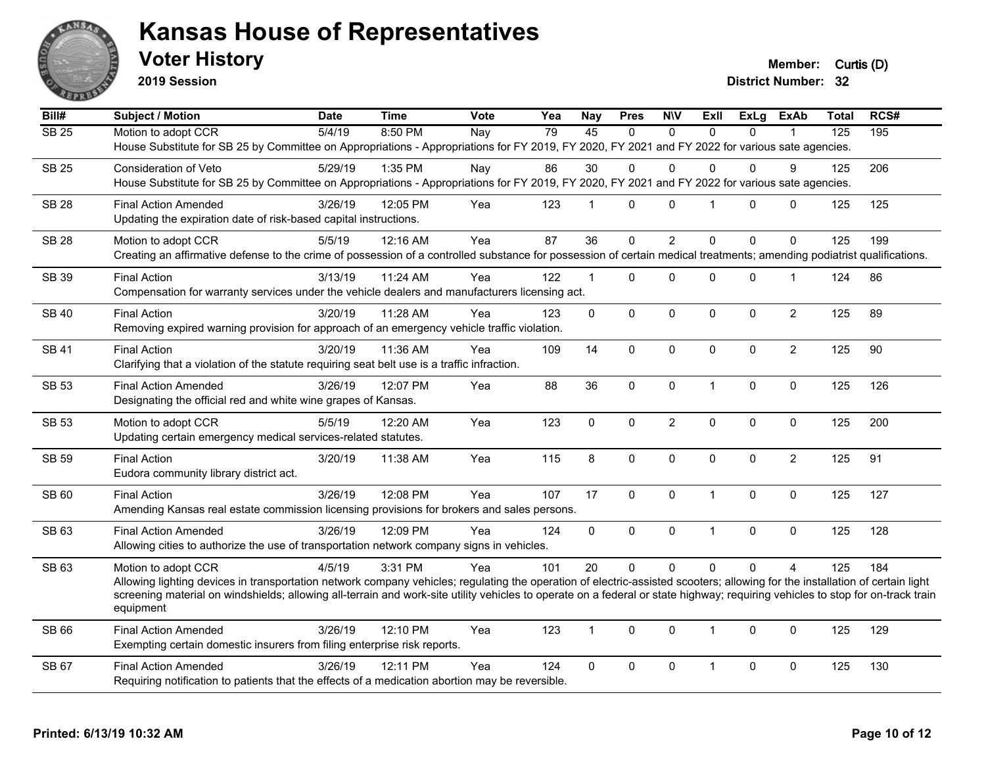

**2019 Session**

**Voter History Member:** Curtis (D)

| Bill#        | <b>Subject / Motion</b>                                                                                                                                                                                                                                                                                                                                        | <b>Date</b> | <b>Time</b> | Vote | Yea | <b>Nay</b>     | <b>Pres</b>  | <b>N\V</b>     | ExII           | <b>ExLg</b>  | <b>ExAb</b>    | <b>Total</b>     | RCS# |
|--------------|----------------------------------------------------------------------------------------------------------------------------------------------------------------------------------------------------------------------------------------------------------------------------------------------------------------------------------------------------------------|-------------|-------------|------|-----|----------------|--------------|----------------|----------------|--------------|----------------|------------------|------|
| <b>SB 25</b> | Motion to adopt CCR                                                                                                                                                                                                                                                                                                                                            | 5/4/19      | 8:50 PM     | Nay  | 79  | 45             | $\Omega$     | $\mathbf{0}$   | $\Omega$       | $\Omega$     |                | $\overline{125}$ | 195  |
|              | House Substitute for SB 25 by Committee on Appropriations - Appropriations for FY 2019, FY 2020, FY 2021 and FY 2022 for various sate agencies.                                                                                                                                                                                                                |             |             |      |     |                |              |                |                |              |                |                  |      |
| <b>SB 25</b> | Consideration of Veto                                                                                                                                                                                                                                                                                                                                          | 5/29/19     | 1:35 PM     | Nay  | 86  | 30             | 0            | $\Omega$       | 0              | 0            | 9              | 125              | 206  |
|              | House Substitute for SB 25 by Committee on Appropriations - Appropriations for FY 2019, FY 2020, FY 2021 and FY 2022 for various sate agencies.                                                                                                                                                                                                                |             |             |      |     |                |              |                |                |              |                |                  |      |
| <b>SB 28</b> | <b>Final Action Amended</b>                                                                                                                                                                                                                                                                                                                                    | 3/26/19     | 12:05 PM    | Yea  | 123 | $\mathbf{1}$   | $\Omega$     | $\Omega$       | $\overline{1}$ | $\mathbf{0}$ | $\Omega$       | 125              | 125  |
|              | Updating the expiration date of risk-based capital instructions.                                                                                                                                                                                                                                                                                               |             |             |      |     |                |              |                |                |              |                |                  |      |
| <b>SB 28</b> | Motion to adopt CCR                                                                                                                                                                                                                                                                                                                                            | 5/5/19      | 12:16 AM    | Yea  | 87  | 36             | $\Omega$     | $\overline{2}$ | $\Omega$       | $\Omega$     | $\Omega$       | 125              | 199  |
|              | Creating an affirmative defense to the crime of possession of a controlled substance for possession of certain medical treatments; amending podiatrist qualifications.                                                                                                                                                                                         |             |             |      |     |                |              |                |                |              |                |                  |      |
| SB 39        | <b>Final Action</b>                                                                                                                                                                                                                                                                                                                                            | 3/13/19     | 11:24 AM    | Yea  | 122 | $\mathbf{1}$   | 0            | 0              | $\mathbf 0$    | 0            | $\mathbf 1$    | 124              | 86   |
|              | Compensation for warranty services under the vehicle dealers and manufacturers licensing act.                                                                                                                                                                                                                                                                  |             |             |      |     |                |              |                |                |              |                |                  |      |
| <b>SB 40</b> | <b>Final Action</b>                                                                                                                                                                                                                                                                                                                                            | 3/20/19     | 11:28 AM    | Yea  | 123 | $\mathbf 0$    | 0            | $\mathbf 0$    | $\mathbf 0$    | 0            | $\overline{c}$ | 125              | 89   |
|              | Removing expired warning provision for approach of an emergency vehicle traffic violation.                                                                                                                                                                                                                                                                     |             |             |      |     |                |              |                |                |              |                |                  |      |
| <b>SB 41</b> | <b>Final Action</b>                                                                                                                                                                                                                                                                                                                                            | 3/20/19     | 11:36 AM    | Yea  | 109 | 14             | $\mathbf{0}$ | $\mathbf{0}$   | $\mathbf{0}$   | $\mathbf{0}$ | $\overline{2}$ | 125              | 90   |
|              | Clarifying that a violation of the statute requiring seat belt use is a traffic infraction.                                                                                                                                                                                                                                                                    |             |             |      |     |                |              |                |                |              |                |                  |      |
| SB 53        | <b>Final Action Amended</b>                                                                                                                                                                                                                                                                                                                                    | 3/26/19     | 12:07 PM    | Yea  | 88  | 36             | $\mathbf 0$  | $\mathbf 0$    | $\overline{1}$ | 0            | $\mathbf 0$    | 125              | 126  |
|              | Designating the official red and white wine grapes of Kansas.                                                                                                                                                                                                                                                                                                  |             |             |      |     |                |              |                |                |              |                |                  |      |
| SB 53        | Motion to adopt CCR                                                                                                                                                                                                                                                                                                                                            | 5/5/19      | 12:20 AM    | Yea  | 123 | $\mathbf{0}$   | $\mathbf 0$  | $\overline{2}$ | $\mathbf 0$    | 0            | 0              | 125              | 200  |
|              | Updating certain emergency medical services-related statutes.                                                                                                                                                                                                                                                                                                  |             |             |      |     |                |              |                |                |              |                |                  |      |
|              |                                                                                                                                                                                                                                                                                                                                                                |             |             |      |     |                |              |                |                |              |                |                  |      |
| SB 59        | <b>Final Action</b><br>Eudora community library district act.                                                                                                                                                                                                                                                                                                  | 3/20/19     | 11:38 AM    | Yea  | 115 | 8              | $\Omega$     | $\mathbf{0}$   | $\Omega$       | $\mathbf{0}$ | $\overline{2}$ | 125              | 91   |
|              |                                                                                                                                                                                                                                                                                                                                                                |             |             |      |     |                |              |                |                |              |                |                  |      |
| SB 60        | <b>Final Action</b><br>Amending Kansas real estate commission licensing provisions for brokers and sales persons.                                                                                                                                                                                                                                              | 3/26/19     | 12:08 PM    | Yea  | 107 | 17             | 0            | $\mathbf 0$    | $\overline{1}$ | 0            | $\mathbf 0$    | 125              | 127  |
|              |                                                                                                                                                                                                                                                                                                                                                                |             |             |      |     |                |              |                |                |              |                |                  |      |
| SB 63        | <b>Final Action Amended</b>                                                                                                                                                                                                                                                                                                                                    | 3/26/19     | 12:09 PM    | Yea  | 124 | $\mathbf 0$    | 0            | $\mathbf 0$    | $\overline{1}$ | 0            | $\mathbf 0$    | 125              | 128  |
|              | Allowing cities to authorize the use of transportation network company signs in vehicles.                                                                                                                                                                                                                                                                      |             |             |      |     |                |              |                |                |              |                |                  |      |
| SB 63        | Motion to adopt CCR                                                                                                                                                                                                                                                                                                                                            | 4/5/19      | 3:31 PM     | Yea  | 101 | 20             | $\mathbf{0}$ | $\mathbf{0}$   | $\Omega$       | $\Omega$     | $\overline{A}$ | 125              | 184  |
|              | Allowing lighting devices in transportation network company vehicles; regulating the operation of electric-assisted scooters; allowing for the installation of certain light<br>screening material on windshields; allowing all-terrain and work-site utility vehicles to operate on a federal or state highway; requiring vehicles to stop for on-track train |             |             |      |     |                |              |                |                |              |                |                  |      |
|              | equipment                                                                                                                                                                                                                                                                                                                                                      |             |             |      |     |                |              |                |                |              |                |                  |      |
| SB 66        | <b>Final Action Amended</b>                                                                                                                                                                                                                                                                                                                                    | 3/26/19     | 12:10 PM    | Yea  | 123 | $\overline{1}$ | $\mathbf{0}$ | $\mathbf{0}$   | $\overline{1}$ | $\Omega$     | $\mathbf{0}$   | 125              | 129  |
|              | Exempting certain domestic insurers from filing enterprise risk reports.                                                                                                                                                                                                                                                                                       |             |             |      |     |                |              |                |                |              |                |                  |      |
| SB 67        | <b>Final Action Amended</b>                                                                                                                                                                                                                                                                                                                                    | 3/26/19     | 12:11 PM    | Yea  | 124 | $\mathbf 0$    | $\mathbf 0$  | 0              | $\mathbf 1$    | 0            | $\mathbf 0$    | 125              | 130  |
|              |                                                                                                                                                                                                                                                                                                                                                                |             |             |      |     |                |              |                |                |              |                |                  |      |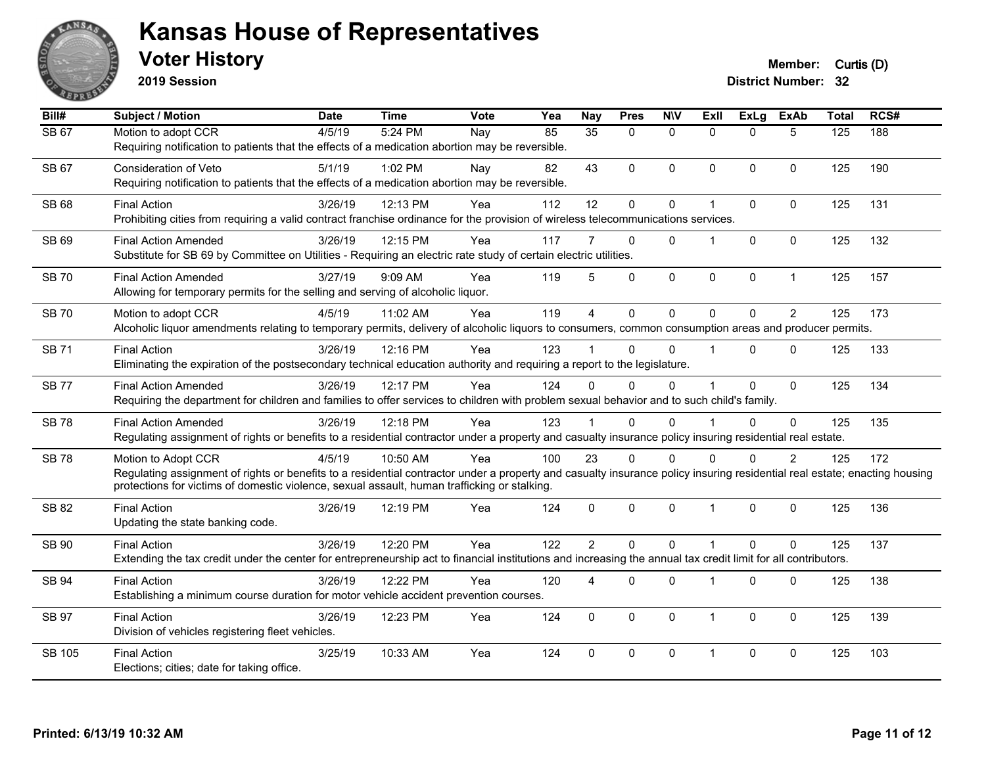

**2019 Session**

| Bill#         | <b>Subject / Motion</b>                                                                                                                                                                                                                                                                          | <b>Date</b> | <b>Time</b> | <b>Vote</b> | Yea | <b>Nay</b>      | <b>Pres</b> | <b>NIV</b>   | <b>ExII</b>          | <b>ExLg</b> | <b>ExAb</b>    | <b>Total</b> | RCS# |
|---------------|--------------------------------------------------------------------------------------------------------------------------------------------------------------------------------------------------------------------------------------------------------------------------------------------------|-------------|-------------|-------------|-----|-----------------|-------------|--------------|----------------------|-------------|----------------|--------------|------|
| SB 67         | Motion to adopt CCR<br>Requiring notification to patients that the effects of a medication abortion may be reversible.                                                                                                                                                                           | 4/5/19      | 5:24 PM     | Nay         | 85  | $\overline{35}$ | $\Omega$    | $\mathbf{0}$ | $\Omega$             | $\Omega$    | 5              | 125          | 188  |
| SB 67         | <b>Consideration of Veto</b><br>Requiring notification to patients that the effects of a medication abortion may be reversible.                                                                                                                                                                  | 5/1/19      | $1:02$ PM   | Nav         | 82  | 43              | $\Omega$    | $\mathbf{0}$ | $\mathbf{0}$         | $\Omega$    | $\Omega$       | 125          | 190  |
| <b>SB68</b>   | <b>Final Action</b><br>Prohibiting cities from requiring a valid contract franchise ordinance for the provision of wireless telecommunications services.                                                                                                                                         | 3/26/19     | 12:13 PM    | Yea         | 112 | 12              | 0           | $\mathbf 0$  | $\blacktriangleleft$ | 0           | $\Omega$       | 125          | 131  |
| <b>SB 69</b>  | <b>Final Action Amended</b><br>Substitute for SB 69 by Committee on Utilities - Requiring an electric rate study of certain electric utilities.                                                                                                                                                  | 3/26/19     | 12:15 PM    | Yea         | 117 | 7               | $\Omega$    | $\Omega$     | 1                    | $\Omega$    | $\Omega$       | 125          | 132  |
| <b>SB 70</b>  | <b>Final Action Amended</b><br>Allowing for temporary permits for the selling and serving of alcoholic liquor.                                                                                                                                                                                   | 3/27/19     | $9:09$ AM   | Yea         | 119 | 5               | $\Omega$    | $\mathbf 0$  | $\Omega$             | $\mathbf 0$ | $\mathbf{1}$   | 125          | 157  |
| <b>SB70</b>   | Motion to adopt CCR<br>Alcoholic liquor amendments relating to temporary permits, delivery of alcoholic liquors to consumers, common consumption areas and producer permits.                                                                                                                     | 4/5/19      | 11:02 AM    | Yea         | 119 | $\overline{4}$  | $\mathbf 0$ | $\mathbf 0$  | $\Omega$             | $\mathbf 0$ | 2              | 125          | 173  |
| <b>SB71</b>   | <b>Final Action</b><br>Eliminating the expiration of the postsecondary technical education authority and requiring a report to the legislature.                                                                                                                                                  | 3/26/19     | 12:16 PM    | Yea         | 123 |                 | $\Omega$    | $\Omega$     | $\blacktriangleleft$ | $\Omega$    | $\mathbf{0}$   | 125          | 133  |
| <b>SB77</b>   | <b>Final Action Amended</b><br>Requiring the department for children and families to offer services to children with problem sexual behavior and to such child's family.                                                                                                                         | 3/26/19     | 12:17 PM    | Yea         | 124 | $\Omega$        | $\Omega$    | $\Omega$     | $\blacktriangleleft$ | $\Omega$    | $\mathbf{0}$   | 125          | 134  |
| <b>SB78</b>   | <b>Final Action Amended</b><br>Regulating assignment of rights or benefits to a residential contractor under a property and casualty insurance policy insuring residential real estate.                                                                                                          | 3/26/19     | 12:18 PM    | Yea         | 123 |                 | $\Omega$    | $\Omega$     |                      | $\Omega$    | $\Omega$       | 125          | 135  |
| <b>SB78</b>   | Motion to Adopt CCR<br>Regulating assignment of rights or benefits to a residential contractor under a property and casualty insurance policy insuring residential real estate; enacting housing<br>protections for victims of domestic violence, sexual assault, human trafficking or stalking. | 4/5/19      | 10:50 AM    | Yea         | 100 | 23              | $\Omega$    | $\mathbf 0$  | $\Omega$             | $\Omega$    | $\overline{2}$ | 125          | 172  |
| <b>SB 82</b>  | <b>Final Action</b><br>Updating the state banking code.                                                                                                                                                                                                                                          | 3/26/19     | 12:19 PM    | Yea         | 124 | $\mathbf 0$     | $\mathbf 0$ | $\mathbf 0$  | $\mathbf{1}$         | $\Omega$    | $\mathbf 0$    | 125          | 136  |
| <b>SB 90</b>  | <b>Final Action</b><br>Extending the tax credit under the center for entrepreneurship act to financial institutions and increasing the annual tax credit limit for all contributors.                                                                                                             | 3/26/19     | 12:20 PM    | Yea         | 122 | $\overline{2}$  | $\Omega$    | $\Omega$     | $\blacktriangleleft$ | $\Omega$    | $\Omega$       | 125          | 137  |
| <b>SB 94</b>  | <b>Final Action</b><br>Establishing a minimum course duration for motor vehicle accident prevention courses.                                                                                                                                                                                     | 3/26/19     | 12:22 PM    | Yea         | 120 | 4               | 0           | $\mathbf 0$  | 1                    | $\mathbf 0$ | $\mathbf 0$    | 125          | 138  |
| SB 97         | <b>Final Action</b><br>Division of vehicles registering fleet vehicles.                                                                                                                                                                                                                          | 3/26/19     | 12:23 PM    | Yea         | 124 | $\Omega$        | $\Omega$    | $\mathbf{0}$ | $\mathbf{1}$         | $\Omega$    | $\Omega$       | 125          | 139  |
| <b>SB 105</b> | <b>Final Action</b><br>Elections; cities; date for taking office.                                                                                                                                                                                                                                | 3/25/19     | 10:33 AM    | Yea         | 124 | $\Omega$        | 0           | $\mathbf 0$  | $\mathbf 1$          | $\Omega$    | $\Omega$       | 125          | 103  |